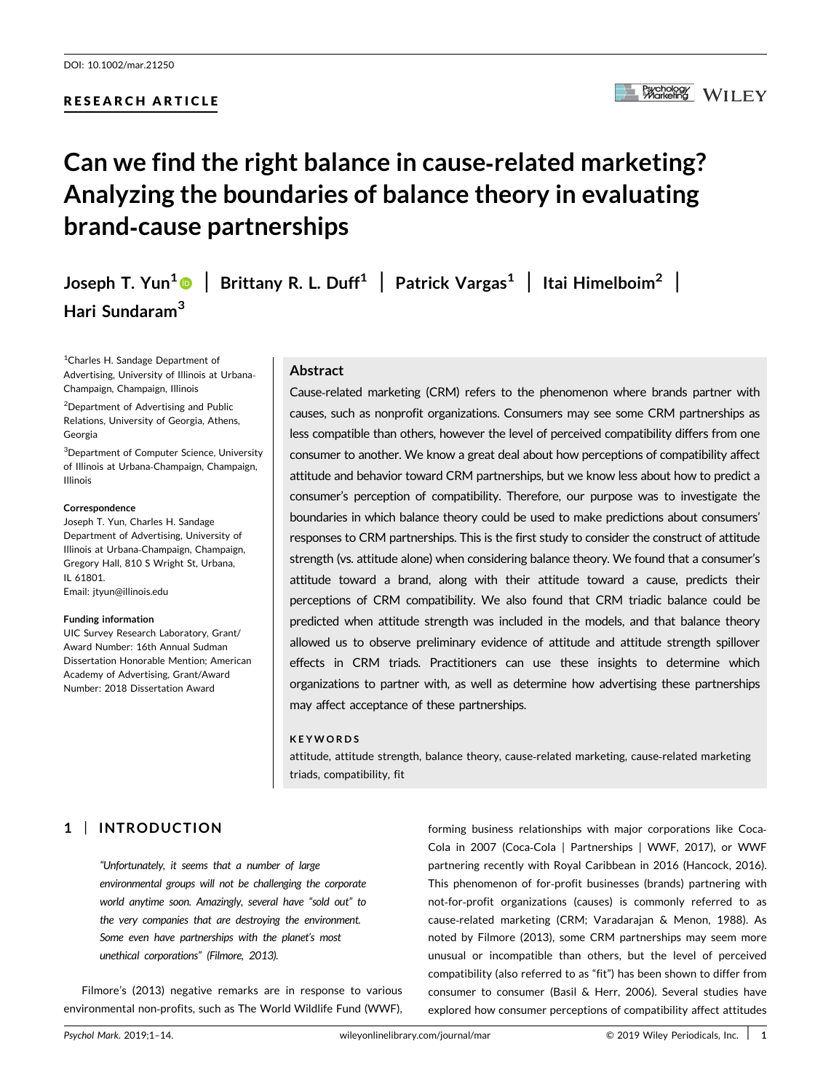# RESEARCH ARTICLE

# Can we find the right balance in cause‐related marketing? Analyzing the boundaries of balance theory in evaluating brand‐cause partnerships

Joseph T. Yun<sup>[1](http://orcid.org/0000-0001-6875-4456)</sup> | Brittany R. L. Duff<sup>1</sup> | Patrick Vargas<sup>1</sup> | Itai Himelboim<sup>2</sup> | Hari Sundaram<sup>3</sup>

<sup>1</sup>Charles H. Sandage Department of Advertising, University of Illinois at Urbana‐ Champaign, Champaign, Illinois

2 Department of Advertising and Public Relations, University of Georgia, Athens, Georgia

3 Department of Computer Science, University of Illinois at Urbana‐Champaign, Champaign, Illinois

#### Correspondence

Joseph T. Yun, Charles H. Sandage Department of Advertising, University of Illinois at Urbana‐Champaign, Champaign, Gregory Hall, 810 S Wright St, Urbana, IL 61801. Email: [jtyun@illinois.edu](mailto:jtyun@illinois.edu)

#### Funding information

UIC Survey Research Laboratory, Grant/ Award Number: 16th Annual Sudman Dissertation Honorable Mention; American Academy of Advertising, Grant/Award Number: 2018 Dissertation Award

## Abstract

Cause‐related marketing (CRM) refers to the phenomenon where brands partner with causes, such as nonprofit organizations. Consumers may see some CRM partnerships as less compatible than others, however the level of perceived compatibility differs from one consumer to another. We know a great deal about how perceptions of compatibility affect attitude and behavior toward CRM partnerships, but we know less about how to predict a consumer's perception of compatibility. Therefore, our purpose was to investigate the boundaries in which balance theory could be used to make predictions about consumers' responses to CRM partnerships. This is the first study to consider the construct of attitude strength (vs. attitude alone) when considering balance theory. We found that a consumer's attitude toward a brand, along with their attitude toward a cause, predicts their perceptions of CRM compatibility. We also found that CRM triadic balance could be predicted when attitude strength was included in the models, and that balance theory allowed us to observe preliminary evidence of attitude and attitude strength spillover effects in CRM triads. Practitioners can use these insights to determine which organizations to partner with, as well as determine how advertising these partnerships may affect acceptance of these partnerships.

#### KEYWORDS

attitude, attitude strength, balance theory, cause‐related marketing, cause‐related marketing triads, compatibility, fit

# 1 | INTRODUCTION

"Unfortunately, it seems that a number of large environmental groups will not be challenging the corporate world anytime soon. Amazingly, several have "sold out" to the very companies that are destroying the environment. Some even have partnerships with the planet's most unethical corporations" (Filmore, 2013).

Filmore's (2013) negative remarks are in response to various environmental non‐profits, such as The World Wildlife Fund (WWF),

forming business relationships with major corporations like Coca-Cola in 2007 (Coca‐Cola | Partnerships | WWF, 2017), or WWF partnering recently with Royal Caribbean in 2016 (Hancock, 2016). This phenomenon of for-profit businesses (brands) partnering with not‐for‐profit organizations (causes) is commonly referred to as cause‐related marketing (CRM; Varadarajan & Menon, 1988). As noted by Filmore (2013), some CRM partnerships may seem more unusual or incompatible than others, but the level of perceived compatibility (also referred to as "fit") has been shown to differ from consumer to consumer (Basil & Herr, 2006). Several studies have explored how consumer perceptions of compatibility affect attitudes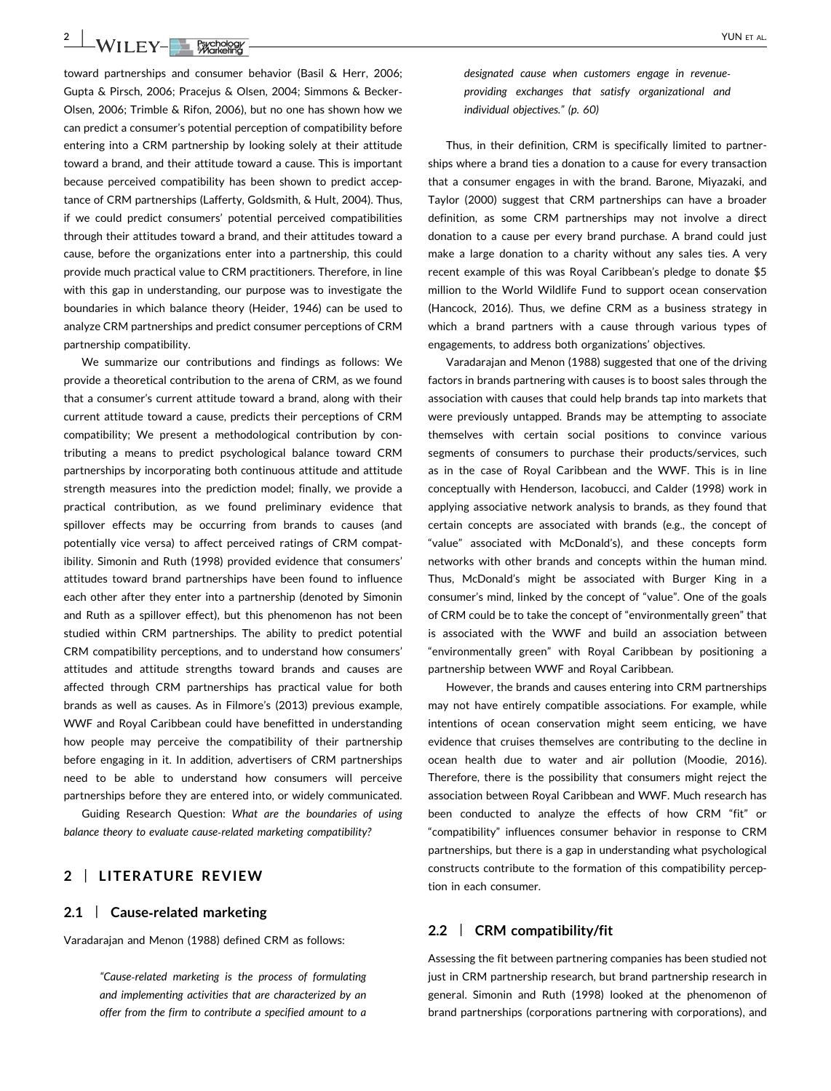2 | WII FV-**BL BXChORGY** 

toward partnerships and consumer behavior (Basil & Herr, 2006; Gupta & Pirsch, 2006; Pracejus & Olsen, 2004; Simmons & Becker‐ Olsen, 2006; Trimble & Rifon, 2006), but no one has shown how we can predict a consumer's potential perception of compatibility before entering into a CRM partnership by looking solely at their attitude toward a brand, and their attitude toward a cause. This is important because perceived compatibility has been shown to predict acceptance of CRM partnerships (Lafferty, Goldsmith, & Hult, 2004). Thus, if we could predict consumers' potential perceived compatibilities through their attitudes toward a brand, and their attitudes toward a cause, before the organizations enter into a partnership, this could provide much practical value to CRM practitioners. Therefore, in line with this gap in understanding, our purpose was to investigate the boundaries in which balance theory (Heider, 1946) can be used to analyze CRM partnerships and predict consumer perceptions of CRM partnership compatibility.

We summarize our contributions and findings as follows: We provide a theoretical contribution to the arena of CRM, as we found that a consumer's current attitude toward a brand, along with their current attitude toward a cause, predicts their perceptions of CRM compatibility; We present a methodological contribution by contributing a means to predict psychological balance toward CRM partnerships by incorporating both continuous attitude and attitude strength measures into the prediction model; finally, we provide a practical contribution, as we found preliminary evidence that spillover effects may be occurring from brands to causes (and potentially vice versa) to affect perceived ratings of CRM compatibility. Simonin and Ruth (1998) provided evidence that consumers' attitudes toward brand partnerships have been found to influence each other after they enter into a partnership (denoted by Simonin and Ruth as a spillover effect), but this phenomenon has not been studied within CRM partnerships. The ability to predict potential CRM compatibility perceptions, and to understand how consumers' attitudes and attitude strengths toward brands and causes are affected through CRM partnerships has practical value for both brands as well as causes. As in Filmore's (2013) previous example, WWF and Royal Caribbean could have benefitted in understanding how people may perceive the compatibility of their partnership before engaging in it. In addition, advertisers of CRM partnerships need to be able to understand how consumers will perceive partnerships before they are entered into, or widely communicated.

Guiding Research Question: What are the boundaries of using balance theory to evaluate cause‐related marketing compatibility?

## 2 | LITERATURE REVIEW

## 2.1 | Cause-related marketing

Varadarajan and Menon (1988) defined CRM as follows:

"Cause‐related marketing is the process of formulating and implementing activities that are characterized by an offer from the firm to contribute a specified amount to a

designated cause when customers engage in revenue‐ providing exchanges that satisfy organizational and individual objectives." (p. 60)

Thus, in their definition, CRM is specifically limited to partnerships where a brand ties a donation to a cause for every transaction that a consumer engages in with the brand. Barone, Miyazaki, and Taylor (2000) suggest that CRM partnerships can have a broader definition, as some CRM partnerships may not involve a direct donation to a cause per every brand purchase. A brand could just make a large donation to a charity without any sales ties. A very recent example of this was Royal Caribbean's pledge to donate \$5 million to the World Wildlife Fund to support ocean conservation (Hancock, 2016). Thus, we define CRM as a business strategy in which a brand partners with a cause through various types of engagements, to address both organizations' objectives.

Varadarajan and Menon (1988) suggested that one of the driving factors in brands partnering with causes is to boost sales through the association with causes that could help brands tap into markets that were previously untapped. Brands may be attempting to associate themselves with certain social positions to convince various segments of consumers to purchase their products/services, such as in the case of Royal Caribbean and the WWF. This is in line conceptually with Henderson, Iacobucci, and Calder (1998) work in applying associative network analysis to brands, as they found that certain concepts are associated with brands (e.g., the concept of "value" associated with McDonald's), and these concepts form networks with other brands and concepts within the human mind. Thus, McDonald's might be associated with Burger King in a consumer's mind, linked by the concept of "value". One of the goals of CRM could be to take the concept of "environmentally green" that is associated with the WWF and build an association between "environmentally green" with Royal Caribbean by positioning a partnership between WWF and Royal Caribbean.

However, the brands and causes entering into CRM partnerships may not have entirely compatible associations. For example, while intentions of ocean conservation might seem enticing, we have evidence that cruises themselves are contributing to the decline in ocean health due to water and air pollution (Moodie, 2016). Therefore, there is the possibility that consumers might reject the association between Royal Caribbean and WWF. Much research has been conducted to analyze the effects of how CRM "fit" or "compatibility" influences consumer behavior in response to CRM partnerships, but there is a gap in understanding what psychological constructs contribute to the formation of this compatibility perception in each consumer.

## 2.2 | CRM compatibility/fit

Assessing the fit between partnering companies has been studied not just in CRM partnership research, but brand partnership research in general. Simonin and Ruth (1998) looked at the phenomenon of brand partnerships (corporations partnering with corporations), and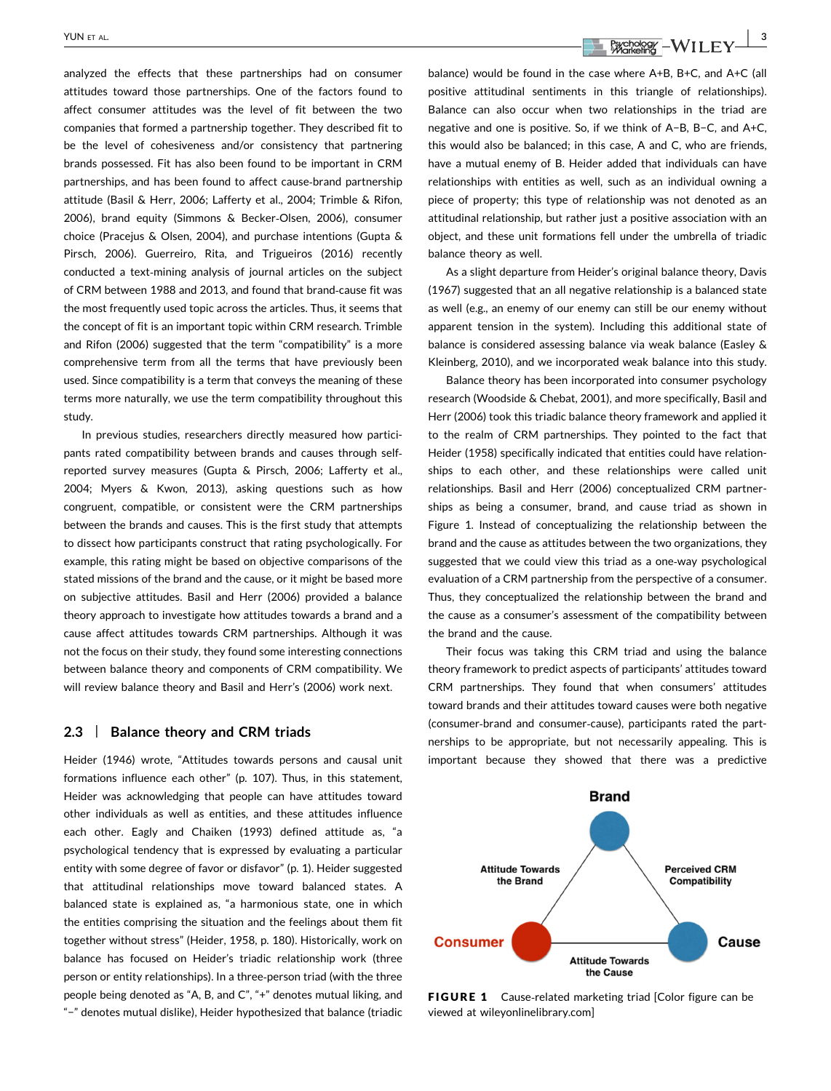analyzed the effects that these partnerships had on consumer attitudes toward those partnerships. One of the factors found to affect consumer attitudes was the level of fit between the two companies that formed a partnership together. They described fit to be the level of cohesiveness and/or consistency that partnering brands possessed. Fit has also been found to be important in CRM partnerships, and has been found to affect cause‐brand partnership attitude (Basil & Herr, 2006; Lafferty et al., 2004; Trimble & Rifon, 2006), brand equity (Simmons & Becker‐Olsen, 2006), consumer choice (Pracejus & Olsen, 2004), and purchase intentions (Gupta & Pirsch, 2006). Guerreiro, Rita, and Trigueiros (2016) recently conducted a text‐mining analysis of journal articles on the subject of CRM between 1988 and 2013, and found that brand‐cause fit was the most frequently used topic across the articles. Thus, it seems that the concept of fit is an important topic within CRM research. Trimble and Rifon (2006) suggested that the term "compatibility" is a more comprehensive term from all the terms that have previously been used. Since compatibility is a term that conveys the meaning of these terms more naturally, we use the term compatibility throughout this study.

In previous studies, researchers directly measured how participants rated compatibility between brands and causes through self‐ reported survey measures (Gupta & Pirsch, 2006; Lafferty et al., 2004; Myers & Kwon, 2013), asking questions such as how congruent, compatible, or consistent were the CRM partnerships between the brands and causes. This is the first study that attempts to dissect how participants construct that rating psychologically. For example, this rating might be based on objective comparisons of the stated missions of the brand and the cause, or it might be based more on subjective attitudes. Basil and Herr (2006) provided a balance theory approach to investigate how attitudes towards a brand and a cause affect attitudes towards CRM partnerships. Although it was not the focus on their study, they found some interesting connections between balance theory and components of CRM compatibility. We will review balance theory and Basil and Herr's (2006) work next.

#### 2.3 | Balance theory and CRM triads

Heider (1946) wrote, "Attitudes towards persons and causal unit formations influence each other" (p. 107). Thus, in this statement, Heider was acknowledging that people can have attitudes toward other individuals as well as entities, and these attitudes influence each other. Eagly and Chaiken (1993) defined attitude as, "a psychological tendency that is expressed by evaluating a particular entity with some degree of favor or disfavor" (p. 1). Heider suggested that attitudinal relationships move toward balanced states. A balanced state is explained as, "a harmonious state, one in which the entities comprising the situation and the feelings about them fit together without stress" (Heider, 1958, p. 180). Historically, work on balance has focused on Heider's triadic relationship work (three person or entity relationships). In a three‐person triad (with the three people being denoted as "A, B, and C", "+" denotes mutual liking, and "−" denotes mutual dislike), Heider hypothesized that balance (triadic

YUN ET AL.  $\frac{1}{2}$   $\frac{1}{2}$   $\frac{1}{2}$   $\frac{1}{2}$   $\frac{1}{2}$   $\frac{1}{2}$   $\frac{1}{2}$   $\frac{1}{2}$   $\frac{1}{2}$   $\frac{1}{2}$   $\frac{1}{2}$   $\frac{1}{2}$   $\frac{1}{2}$   $\frac{1}{2}$   $\frac{1}{2}$   $\frac{1}{2}$   $\frac{1}{2}$   $\frac{1}{2}$   $\frac{1}{2}$   $\frac{1}{2}$   $\frac{1}{2}$ 

balance) would be found in the case where A+B, B+C, and A+C (all positive attitudinal sentiments in this triangle of relationships). Balance can also occur when two relationships in the triad are negative and one is positive. So, if we think of A−B, B−C, and A+C, this would also be balanced; in this case, A and C, who are friends, have a mutual enemy of B. Heider added that individuals can have relationships with entities as well, such as an individual owning a piece of property; this type of relationship was not denoted as an attitudinal relationship, but rather just a positive association with an object, and these unit formations fell under the umbrella of triadic balance theory as well.

As a slight departure from Heider's original balance theory, Davis (1967) suggested that an all negative relationship is a balanced state as well (e.g., an enemy of our enemy can still be our enemy without apparent tension in the system). Including this additional state of balance is considered assessing balance via weak balance (Easley & Kleinberg, 2010), and we incorporated weak balance into this study.

Balance theory has been incorporated into consumer psychology research (Woodside & Chebat, 2001), and more specifically, Basil and Herr (2006) took this triadic balance theory framework and applied it to the realm of CRM partnerships. They pointed to the fact that Heider (1958) specifically indicated that entities could have relationships to each other, and these relationships were called unit relationships. Basil and Herr (2006) conceptualized CRM partnerships as being a consumer, brand, and cause triad as shown in Figure 1. Instead of conceptualizing the relationship between the brand and the cause as attitudes between the two organizations, they suggested that we could view this triad as a one‐way psychological evaluation of a CRM partnership from the perspective of a consumer. Thus, they conceptualized the relationship between the brand and the cause as a consumer's assessment of the compatibility between the brand and the cause.

Their focus was taking this CRM triad and using the balance theory framework to predict aspects of participants' attitudes toward CRM partnerships. They found that when consumers' attitudes toward brands and their attitudes toward causes were both negative (consumer‐brand and consumer‐cause), participants rated the partnerships to be appropriate, but not necessarily appealing. This is important because they showed that there was a predictive



FIGURE 1 Cause-related marketing triad [Color figure can be viewed at wileyonlinelibrary.com]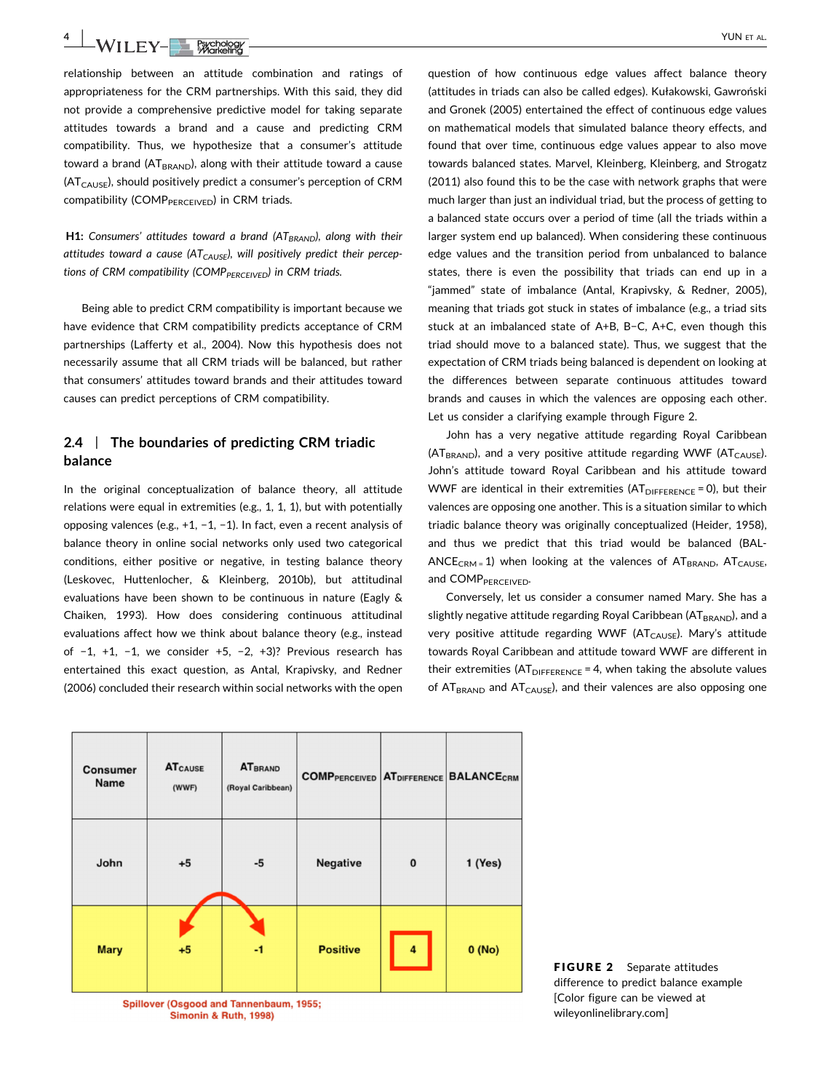4 WII FV-BACROSOF

relationship between an attitude combination and ratings of appropriateness for the CRM partnerships. With this said, they did not provide a comprehensive predictive model for taking separate attitudes towards a brand and a cause and predicting CRM compatibility. Thus, we hypothesize that a consumer's attitude toward a brand  $(AT_{BRAND})$ , along with their attitude toward a cause  $(AT<sub>CAUSE</sub>)$ , should positively predict a consumer's perception of CRM compatibility (COMP<sub>PERCEIVED</sub>) in CRM triads.

**H1:** Consumers' attitudes toward a brand  $(AT_{BRAND})$ , along with their attitudes toward a cause ( $AT_{CAUSE}$ ), will positively predict their perceptions of CRM compatibility (COMP $_{PERCEIVED}$ ) in CRM triads.

Being able to predict CRM compatibility is important because we have evidence that CRM compatibility predicts acceptance of CRM partnerships (Lafferty et al., 2004). Now this hypothesis does not necessarily assume that all CRM triads will be balanced, but rather that consumers' attitudes toward brands and their attitudes toward causes can predict perceptions of CRM compatibility.

# 2.4 | The boundaries of predicting CRM triadic balance

In the original conceptualization of balance theory, all attitude relations were equal in extremities (e.g., 1, 1, 1), but with potentially opposing valences (e.g., +1, −1, −1). In fact, even a recent analysis of balance theory in online social networks only used two categorical conditions, either positive or negative, in testing balance theory (Leskovec, Huttenlocher, & Kleinberg, 2010b), but attitudinal evaluations have been shown to be continuous in nature (Eagly & Chaiken, 1993). How does considering continuous attitudinal evaluations affect how we think about balance theory (e.g., instead of −1, +1, −1, we consider +5, −2, +3)? Previous research has entertained this exact question, as Antal, Krapivsky, and Redner (2006) concluded their research within social networks with the open question of how continuous edge values affect balance theory (attitudes in triads can also be called edges). Kułakowski, Gawroński and Gronek (2005) entertained the effect of continuous edge values on mathematical models that simulated balance theory effects, and found that over time, continuous edge values appear to also move towards balanced states. Marvel, Kleinberg, Kleinberg, and Strogatz (2011) also found this to be the case with network graphs that were much larger than just an individual triad, but the process of getting to a balanced state occurs over a period of time (all the triads within a larger system end up balanced). When considering these continuous edge values and the transition period from unbalanced to balance states, there is even the possibility that triads can end up in a "jammed" state of imbalance (Antal, Krapivsky, & Redner, 2005), meaning that triads got stuck in states of imbalance (e.g., a triad sits stuck at an imbalanced state of A+B, B−C, A+C, even though this triad should move to a balanced state). Thus, we suggest that the expectation of CRM triads being balanced is dependent on looking at the differences between separate continuous attitudes toward brands and causes in which the valences are opposing each other. Let us consider a clarifying example through Figure 2.

John has a very negative attitude regarding Royal Caribbean  $(AT_{BRAND})$ , and a very positive attitude regarding WWF  $(AT_{CAUSE})$ . John's attitude toward Royal Caribbean and his attitude toward WWF are identical in their extremities  $(AT<sub>DIFFERENCE</sub> = 0)$ , but their valences are opposing one another. This is a situation similar to which triadic balance theory was originally conceptualized (Heider, 1958), and thus we predict that this triad would be balanced (BAL-ANCE<sub>CRM</sub> = 1) when looking at the valences of  $AT_{BRAND}$ ,  $AT_{CAUSE}$ , and COMPPERCEIVED.

Conversely, let us consider a consumer named Mary. She has a slightly negative attitude regarding Royal Caribbean (ATBRAND), and a very positive attitude regarding WWF ( $AT<sub>CAUSE</sub>$ ). Mary's attitude towards Royal Caribbean and attitude toward WWF are different in their extremities  $(AT<sub>DIFFERENCE</sub> = 4$ , when taking the absolute values of  $AT_{BRAND}$  and  $AT_{CAUSE}$ ), and their valences are also opposing one





FIGURE 2 Separate attitudes difference to predict balance example [Color figure can be viewed at wileyonlinelibrary.com]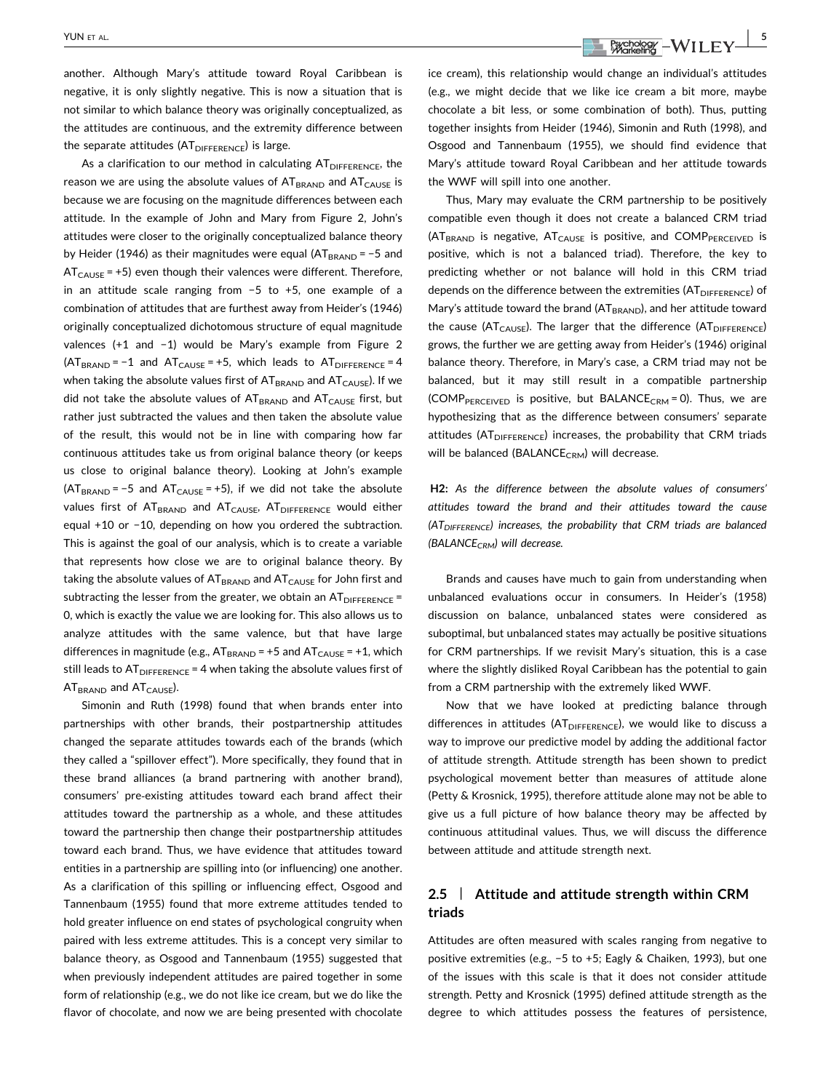another. Although Mary's attitude toward Royal Caribbean is negative, it is only slightly negative. This is now a situation that is not similar to which balance theory was originally conceptualized, as the attitudes are continuous, and the extremity difference between the separate attitudes  $(AT<sub>DIFFERENCE</sub>)$  is large.

As a clarification to our method in calculating  $AT<sub>DIEFERENCF</sub>$ , the reason we are using the absolute values of  $AT_{BRAND}$  and  $AT_{CAUSE}$  is because we are focusing on the magnitude differences between each attitude. In the example of John and Mary from Figure 2, John's attitudes were closer to the originally conceptualized balance theory by Heider (1946) as their magnitudes were equal ( $AT_{BRAND}$  = −5 and  $AT<sub>CAUSE</sub> = +5$ ) even though their valences were different. Therefore, in an attitude scale ranging from −5 to +5, one example of a combination of attitudes that are furthest away from Heider's (1946) originally conceptualized dichotomous structure of equal magnitude valences (+1 and −1) would be Mary's example from Figure 2  $(AT_{BRAND} = -1$  and  $AT_{CAUSE} = +5$ , which leads to  $AT_{DIFFENCE} = 4$ when taking the absolute values first of  $AT_{BRAND}$  and  $AT_{CAUSE}$ ). If we did not take the absolute values of  $AT_{BRAND}$  and  $AT_{CAUSE}$  first, but rather just subtracted the values and then taken the absolute value of the result, this would not be in line with comparing how far continuous attitudes take us from original balance theory (or keeps us close to original balance theory). Looking at John's example ( $AT_{BRAND}$  = −5 and  $AT_{CAUSE}$  = +5), if we did not take the absolute values first of  $AT_{BRAND}$  and  $AT_{CAUSE}$ ,  $AT_{DIFFENCE}$  would either equal +10 or −10, depending on how you ordered the subtraction. This is against the goal of our analysis, which is to create a variable that represents how close we are to original balance theory. By taking the absolute values of  $AT_{BRAND}$  and  $AT_{CAUSE}$  for John first and subtracting the lesser from the greater, we obtain an  $AT_{DIFFERENCE}$ 0, which is exactly the value we are looking for. This also allows us to analyze attitudes with the same valence, but that have large differences in magnitude (e.g.,  $AT_{BRAND}$  = +5 and  $AT_{CAUSE}$  = +1, which still leads to  $AT<sub>DIFFERENCE</sub> = 4$  when taking the absolute values first of  $AT_{BRAND}$  and  $AT_{CAUSE}$ ).

Simonin and Ruth (1998) found that when brands enter into partnerships with other brands, their postpartnership attitudes changed the separate attitudes towards each of the brands (which they called a "spillover effect"). More specifically, they found that in these brand alliances (a brand partnering with another brand), consumers' pre‐existing attitudes toward each brand affect their attitudes toward the partnership as a whole, and these attitudes toward the partnership then change their postpartnership attitudes toward each brand. Thus, we have evidence that attitudes toward entities in a partnership are spilling into (or influencing) one another. As a clarification of this spilling or influencing effect, Osgood and Tannenbaum (1955) found that more extreme attitudes tended to hold greater influence on end states of psychological congruity when paired with less extreme attitudes. This is a concept very similar to balance theory, as Osgood and Tannenbaum (1955) suggested that when previously independent attitudes are paired together in some form of relationship (e.g., we do not like ice cream, but we do like the flavor of chocolate, and now we are being presented with chocolate

YUN ET AL.  $\frac{5}{2}$ 

ice cream), this relationship would change an individual's attitudes (e.g., we might decide that we like ice cream a bit more, maybe chocolate a bit less, or some combination of both). Thus, putting together insights from Heider (1946), Simonin and Ruth (1998), and Osgood and Tannenbaum (1955), we should find evidence that Mary's attitude toward Royal Caribbean and her attitude towards the WWF will spill into one another.

Thus, Mary may evaluate the CRM partnership to be positively compatible even though it does not create a balanced CRM triad  $(AT_{BRAND}$  is negative,  $AT_{CAUSE}$  is positive, and COMP<sub>PERCEIVED</sub> is positive, which is not a balanced triad). Therefore, the key to predicting whether or not balance will hold in this CRM triad depends on the difference between the extremities  $(AT<sub>DIFFERENCE</sub>)$  of Mary's attitude toward the brand ( $AT<sub>BRAND</sub>$ ), and her attitude toward the cause ( $AT<sub>CAUSE</sub>$ ). The larger that the difference ( $AT<sub>DIFFERENCE</sub>$ ) grows, the further we are getting away from Heider's (1946) original balance theory. Therefore, in Mary's case, a CRM triad may not be balanced, but it may still result in a compatible partnership (COMP<sub>PERCEIVED</sub> is positive, but BALANCE<sub>CRM</sub> = 0). Thus, we are hypothesizing that as the difference between consumers' separate attitudes (AT<sub>DIFFERENCE</sub>) increases, the probability that CRM triads will be balanced (BALANCE<sub>CRM</sub>) will decrease.

H2: As the difference between the absolute values of consumers' attitudes toward the brand and their attitudes toward the cause  $(AT<sub>DIFFERENCE</sub>)$  increases, the probability that CRM triads are balanced  $(BALANCE_{CRM})$  will decrease.

Brands and causes have much to gain from understanding when unbalanced evaluations occur in consumers. In Heider's (1958) discussion on balance, unbalanced states were considered as suboptimal, but unbalanced states may actually be positive situations for CRM partnerships. If we revisit Mary's situation, this is a case where the slightly disliked Royal Caribbean has the potential to gain from a CRM partnership with the extremely liked WWF.

Now that we have looked at predicting balance through differences in attitudes ( $AT<sub>DIFFERENCE</sub>$ ), we would like to discuss a way to improve our predictive model by adding the additional factor of attitude strength. Attitude strength has been shown to predict psychological movement better than measures of attitude alone (Petty & Krosnick, 1995), therefore attitude alone may not be able to give us a full picture of how balance theory may be affected by continuous attitudinal values. Thus, we will discuss the difference between attitude and attitude strength next.

# 2.5 | Attitude and attitude strength within CRM triads

Attitudes are often measured with scales ranging from negative to positive extremities (e.g., −5 to +5; Eagly & Chaiken, 1993), but one of the issues with this scale is that it does not consider attitude strength. Petty and Krosnick (1995) defined attitude strength as the degree to which attitudes possess the features of persistence,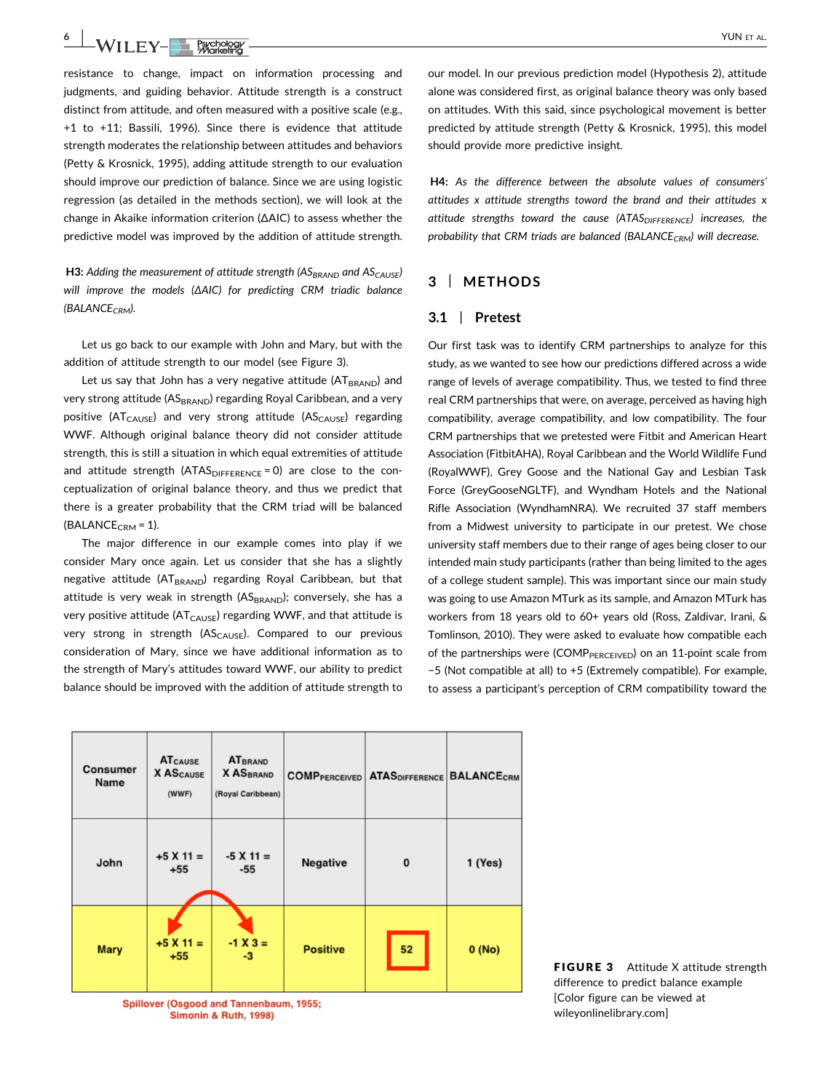6 WII FY-ERICROSOF

resistance to change, impact on information processing and judgments, and guiding behavior. Attitude strength is a construct distinct from attitude, and often measured with a positive scale (e.g., +1 to +11; Bassili, 1996). Since there is evidence that attitude strength moderates the relationship between attitudes and behaviors (Petty & Krosnick, 1995), adding attitude strength to our evaluation should improve our prediction of balance. Since we are using logistic regression (as detailed in the methods section), we will look at the change in Akaike information criterion (ΔAIC) to assess whether the predictive model was improved by the addition of attitude strength.

H3: Adding the measurement of attitude strength ( $AS_{BRAND}$  and  $AS_{CAUSE}$ ) will improve the models (ΔAIC) for predicting CRM triadic balance  $(BALANCE_{CRM})$ .

Let us go back to our example with John and Mary, but with the addition of attitude strength to our model (see Figure 3).

Let us say that John has a very negative attitude  $(AT_{BRAND})$  and very strong attitude (AS<sub>BRAND</sub>) regarding Royal Caribbean, and a very positive ( $AT_{CAUSE}$ ) and very strong attitude ( $AS_{CAUSE}$ ) regarding WWF. Although original balance theory did not consider attitude strength, this is still a situation in which equal extremities of attitude and attitude strength  $(ATAS<sub>DIFFERENCE</sub> = 0)$  are close to the conceptualization of original balance theory, and thus we predict that there is a greater probability that the CRM triad will be balanced  $(BALANCE<sub>CRM</sub> = 1).$ 

The major difference in our example comes into play if we consider Mary once again. Let us consider that she has a slightly negative attitude (AT<sub>BRAND</sub>) regarding Royal Caribbean, but that attitude is very weak in strength (AS<sub>BRAND</sub>); conversely, she has a very positive attitude ( $AT<sub>CAUSE</sub>$ ) regarding WWF, and that attitude is very strong in strength  $(AS_{CAUSE})$ . Compared to our previous consideration of Mary, since we have additional information as to the strength of Mary's attitudes toward WWF, our ability to predict balance should be improved with the addition of attitude strength to our model. In our previous prediction model (Hypothesis 2), attitude alone was considered first, as original balance theory was only based on attitudes. With this said, since psychological movement is better predicted by attitude strength (Petty & Krosnick, 1995), this model should provide more predictive insight.

H4: As the difference between the absolute values of consumers' attitudes x attitude strengths toward the brand and their attitudes x attitude strengths toward the cause  $(ATAS<sub>DIFFENCE</sub>)$  increases, the probability that CRM triads are balanced (BALANCE<sub>CRM</sub>) will decrease.

# 3 | METHODS

### 3.1 | Pretest

Our first task was to identify CRM partnerships to analyze for this study, as we wanted to see how our predictions differed across a wide range of levels of average compatibility. Thus, we tested to find three real CRM partnerships that were, on average, perceived as having high compatibility, average compatibility, and low compatibility. The four CRM partnerships that we pretested were Fitbit and American Heart Association (FitbitAHA), Royal Caribbean and the World Wildlife Fund (RoyalWWF), Grey Goose and the National Gay and Lesbian Task Force (GreyGooseNGLTF), and Wyndham Hotels and the National Rifle Association (WyndhamNRA). We recruited 37 staff members from a Midwest university to participate in our pretest. We chose university staff members due to their range of ages being closer to our intended main study participants (rather than being limited to the ages of a college student sample). This was important since our main study was going to use Amazon MTurk as its sample, and Amazon MTurk has workers from 18 years old to 60+ years old (Ross, Zaldivar, Irani, & Tomlinson, 2010). They were asked to evaluate how compatible each of the partnerships were (COMP $_{PERCEVED}$ ) on an 11-point scale from −5 (Not compatible at all) to +5 (Extremely compatible). For example, to assess a participant's perception of CRM compatibility toward the

| <b>Consumer</b><br>Name | <b>ATCAUSE</b><br><b>X ASCAUSE</b><br>(WWF) | <b>ATBRAND</b><br><b>X ASBRAND</b><br>(Royal Caribbean) | <b>COMPPERCEIVED</b> | <b>ATASDIFFERENCE</b> | <b>BALANCECRM</b> |
|-------------------------|---------------------------------------------|---------------------------------------------------------|----------------------|-----------------------|-------------------|
| John                    | $+5$ X 11 =<br>$+55$                        | $-5$ X 11 =<br>-55                                      | Negative             | $\mathbf{0}$          | 1 (Yes)           |
| <b>Mary</b>             | $+5$ X 11 =<br>$+55$                        | $-1 X 3 =$<br>$-3$                                      | <b>Positive</b>      | 52                    | 0(No)             |

**Spillover (Osgood and Tannenbaum, 1955; Simonin & Ruth, 1998)** 

FIGURE 3 Attitude X attitude strength difference to predict balance example [Color figure can be viewed at wileyonlinelibrary.com]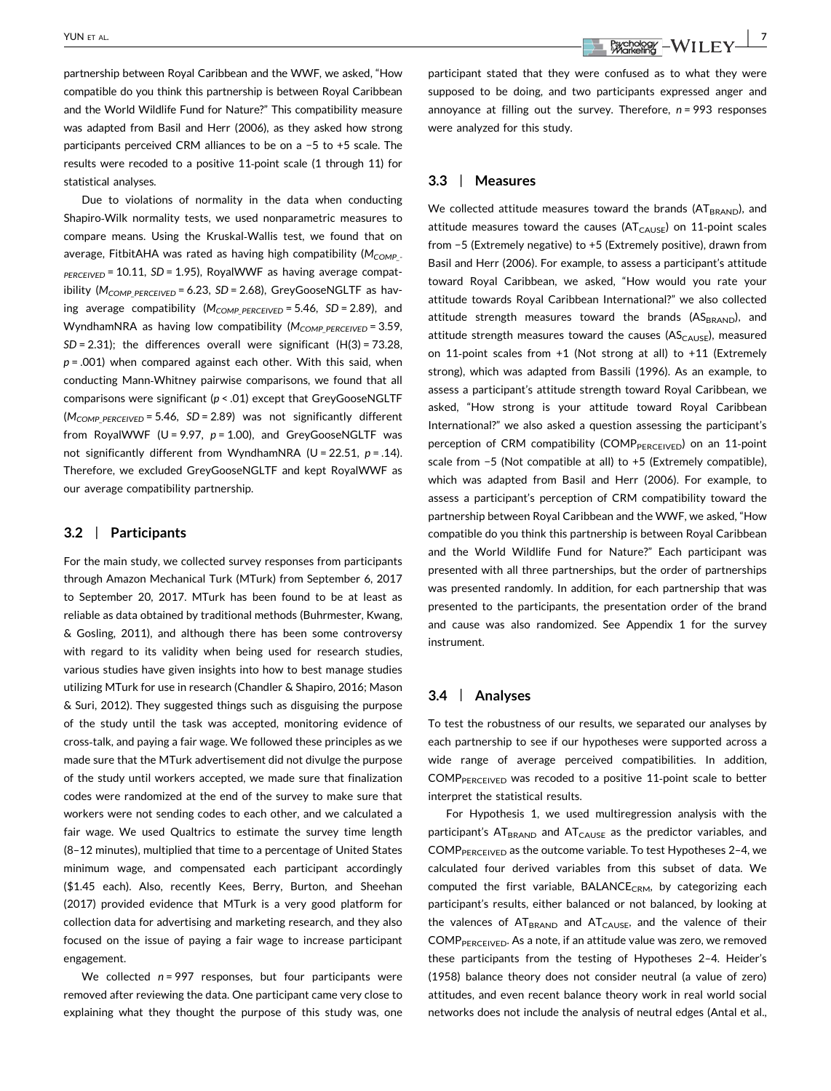partnership between Royal Caribbean and the WWF, we asked, "How compatible do you think this partnership is between Royal Caribbean and the World Wildlife Fund for Nature?" This compatibility measure was adapted from Basil and Herr (2006), as they asked how strong participants perceived CRM alliances to be on a −5 to +5 scale. The results were recoded to a positive 11‐point scale (1 through 11) for statistical analyses.

Due to violations of normality in the data when conducting Shapiro‐Wilk normality tests, we used nonparametric measures to compare means. Using the Kruskal‐Wallis test, we found that on average, FitbitAHA was rated as having high compatibility  $(M_{COMP} P_{\text{PREEIVED}}$  = 10.11, SD = 1.95), RoyalWWF as having average compatibility ( $M_{COMP\ PERCEIVED}$  = 6.23, SD = 2.68), GreyGooseNGLTF as having average compatibility ( $M_{COMP\ PERCEIVED} = 5.46$ , SD = 2.89), and WyndhamNRA as having low compatibility ( $M_{COMP}$   $_{PERCEIVED}$  = 3.59,  $SD = 2.31$ ); the differences overall were significant (H(3) = 73.28,  $p = .001$ ) when compared against each other. With this said, when conducting Mann‐Whitney pairwise comparisons, we found that all comparisons were significant ( $p < .01$ ) except that GreyGooseNGLTF  $(M_{COMP~PERCFIVED} = 5.46, SD = 2.89)$  was not significantly different from RoyalWWF (U = 9.97,  $p = 1.00$ ), and GreyGooseNGLTF was not significantly different from WyndhamNRA (U = 22.51,  $p = .14$ ). Therefore, we excluded GreyGooseNGLTF and kept RoyalWWF as our average compatibility partnership.

#### 3.2 | Participants

For the main study, we collected survey responses from participants through Amazon Mechanical Turk (MTurk) from September 6, 2017 to September 20, 2017. MTurk has been found to be at least as reliable as data obtained by traditional methods (Buhrmester, Kwang, & Gosling, 2011), and although there has been some controversy with regard to its validity when being used for research studies, various studies have given insights into how to best manage studies utilizing MTurk for use in research (Chandler & Shapiro, 2016; Mason & Suri, 2012). They suggested things such as disguising the purpose of the study until the task was accepted, monitoring evidence of cross‐talk, and paying a fair wage. We followed these principles as we made sure that the MTurk advertisement did not divulge the purpose of the study until workers accepted, we made sure that finalization codes were randomized at the end of the survey to make sure that workers were not sending codes to each other, and we calculated a fair wage. We used Qualtrics to estimate the survey time length (8–12 minutes), multiplied that time to a percentage of United States minimum wage, and compensated each participant accordingly (\$1.45 each). Also, recently Kees, Berry, Burton, and Sheehan (2017) provided evidence that MTurk is a very good platform for collection data for advertising and marketing research, and they also focused on the issue of paying a fair wage to increase participant engagement.

We collected  $n = 997$  responses, but four participants were removed after reviewing the data. One participant came very close to explaining what they thought the purpose of this study was, one

participant stated that they were confused as to what they were supposed to be doing, and two participants expressed anger and annoyance at filling out the survey. Therefore,  $n = 993$  responses were analyzed for this study.

#### 3.3 | Measures

We collected attitude measures toward the brands ( $AT_{BRAND}$ ), and attitude measures toward the causes ( $AT<sub>CAUSE</sub>$ ) on 11-point scales from −5 (Extremely negative) to +5 (Extremely positive), drawn from Basil and Herr (2006). For example, to assess a participant's attitude toward Royal Caribbean, we asked, "How would you rate your attitude towards Royal Caribbean International?" we also collected attitude strength measures toward the brands (ASBRAND), and attitude strength measures toward the causes ( $AS<sub>CAUSE</sub>$ ), measured on 11-point scales from +1 (Not strong at all) to +11 (Extremely strong), which was adapted from Bassili (1996). As an example, to assess a participant's attitude strength toward Royal Caribbean, we asked, "How strong is your attitude toward Royal Caribbean International?" we also asked a question assessing the participant's perception of CRM compatibility (COMP<sub>PERCEIVED</sub>) on an 11-point scale from −5 (Not compatible at all) to +5 (Extremely compatible), which was adapted from Basil and Herr (2006). For example, to assess a participant's perception of CRM compatibility toward the partnership between Royal Caribbean and the WWF, we asked, "How compatible do you think this partnership is between Royal Caribbean and the World Wildlife Fund for Nature?" Each participant was presented with all three partnerships, but the order of partnerships was presented randomly. In addition, for each partnership that was presented to the participants, the presentation order of the brand and cause was also randomized. See Appendix 1 for the survey instrument.

#### 3.4 | Analyses

To test the robustness of our results, we separated our analyses by each partnership to see if our hypotheses were supported across a wide range of average perceived compatibilities. In addition, COMPPERCEIVED was recoded to a positive 11‐point scale to better interpret the statistical results.

For Hypothesis 1, we used multiregression analysis with the participant's  $AT_{BRAND}$  and  $AT_{CAUSE}$  as the predictor variables, and COMP $P_{PERCEIVED}$  as the outcome variable. To test Hypotheses 2-4, we calculated four derived variables from this subset of data. We computed the first variable, BALANCE<sub>CRM</sub>, by categorizing each participant's results, either balanced or not balanced, by looking at the valences of  $AT_{BRAND}$  and  $AT_{CAUSE}$ , and the valence of their COMPPERCEIVED. As a note, if an attitude value was zero, we removed these participants from the testing of Hypotheses 2–4. Heider's (1958) balance theory does not consider neutral (a value of zero) attitudes, and even recent balance theory work in real world social networks does not include the analysis of neutral edges (Antal et al.,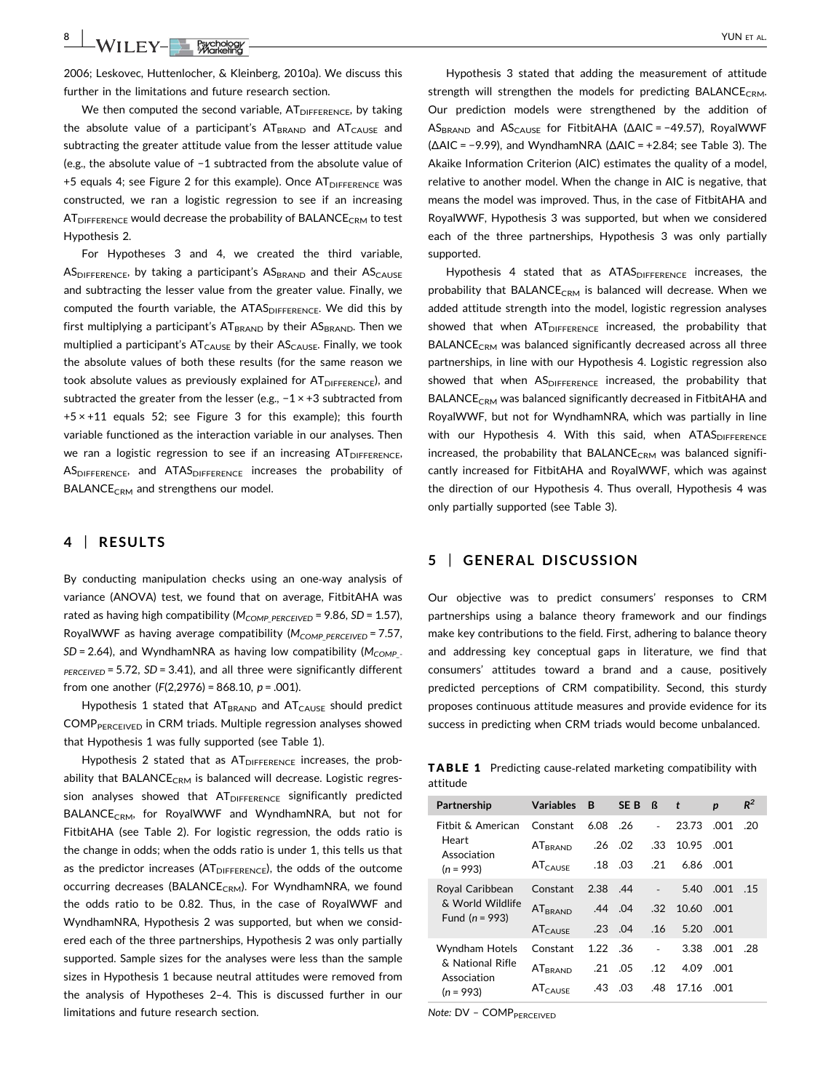8 | WILEY-BERGDOOF

2006; Leskovec, Huttenlocher, & Kleinberg, 2010a). We discuss this further in the limitations and future research section.

We then computed the second variable,  $AT<sub>DIFFERENCE</sub>$ , by taking the absolute value of a participant's  $AT_{BRAND}$  and  $AT_{CAUSE}$  and subtracting the greater attitude value from the lesser attitude value (e.g., the absolute value of −1 subtracted from the absolute value of +5 equals 4; see Figure 2 for this example). Once  $AT<sub>DIFFERENCE</sub>$  was constructed, we ran a logistic regression to see if an increasing  $AT<sub>DIFFERENCE</sub>$  would decrease the probability of BALANCE<sub>CRM</sub> to test Hypothesis 2.

For Hypotheses 3 and 4, we created the third variable,  $AS<sub>DIFFERENCE</sub>$ , by taking a participant's  $AS<sub>BRAND</sub>$  and their  $AS<sub>CALISE</sub>$ and subtracting the lesser value from the greater value. Finally, we computed the fourth variable, the ATAS<sub>DIFFERENCE</sub>. We did this by first multiplying a participant's  $AT_{BRAND}$  by their  $AS_{BRAND}$ . Then we multiplied a participant's  $AT_{CAUSE}$  by their  $AS_{CAUSE}$ . Finally, we took the absolute values of both these results (for the same reason we took absolute values as previously explained for  $AT<sub>DIFFERENCE</sub>$ , and subtracted the greater from the lesser (e.g., -1 × +3 subtracted from  $+5 \times +11$  equals 52; see Figure 3 for this example); this fourth variable functioned as the interaction variable in our analyses. Then we ran a logistic regression to see if an increasing  $AT<sub>DIFFERENCE</sub>$ AS<sub>DIFFERENCE</sub>, and ATAS<sub>DIFFERENCE</sub> increases the probability of BALANCE<sub>CRM</sub> and strengthens our model.

## 4 | RESULTS

By conducting manipulation checks using an one‐way analysis of variance (ANOVA) test, we found that on average, FitbitAHA was rated as having high compatibility ( $M_{COMP\ PERCEIVED}$  = 9.86, SD = 1.57), RoyalWWF as having average compatibility ( $M_{COMP\_PERCEIVED}$  = 7.57,  $SD = 2.64$ ), and WyndhamNRA as having low compatibility ( $M_{COMP}$ .  $PERCEIVED = 5.72$ ,  $SD = 3.41$ ), and all three were significantly different from one another  $(F(2, 2976) = 868.10, p = .001)$ .

Hypothesis 1 stated that  $AT_{BRAND}$  and  $AT_{CAUSE}$  should predict COMP<sub>PERCEIVED</sub> in CRM triads. Multiple regression analyses showed that Hypothesis 1 was fully supported (see Table 1).

Hypothesis 2 stated that as  $AT<sub>DIFFERENCE</sub>$  increases, the probability that BALANCE<sub>CRM</sub> is balanced will decrease. Logistic regression analyses showed that  $AT_{DIFFENCE}$  significantly predicted BALANCE<sub>CRM</sub>, for RoyalWWF and WyndhamNRA, but not for FitbitAHA (see Table 2). For logistic regression, the odds ratio is the change in odds; when the odds ratio is under 1, this tells us that as the predictor increases  $(AT<sub>DIFFERENCE</sub>)$ , the odds of the outcome occurring decreases (BALANCE<sub>CRM</sub>). For WyndhamNRA, we found the odds ratio to be 0.82. Thus, in the case of RoyalWWF and WyndhamNRA, Hypothesis 2 was supported, but when we considered each of the three partnerships, Hypothesis 2 was only partially supported. Sample sizes for the analyses were less than the sample sizes in Hypothesis 1 because neutral attitudes were removed from the analysis of Hypotheses 2–4. This is discussed further in our limitations and future research section.

Hypothesis 3 stated that adding the measurement of attitude strength will strengthen the models for predicting BALANCE<sub>CRM</sub>. Our prediction models were strengthened by the addition of AS<sub>BRAND</sub> and AS<sub>CAUSE</sub> for FitbitAHA (ΔAIC = -49.57), RoyalWWF  $(\Delta AIC = -9.99)$ , and WyndhamNRA ( $\Delta AIC = +2.84$ ; see Table 3). The Akaike Information Criterion (AIC) estimates the quality of a model, relative to another model. When the change in AIC is negative, that means the model was improved. Thus, in the case of FitbitAHA and RoyalWWF, Hypothesis 3 was supported, but when we considered each of the three partnerships, Hypothesis 3 was only partially supported.

Hypothesis 4 stated that as  $ATAS<sub>DIFFERENCE</sub>$  increases, the probability that BALANCE<sub>CRM</sub> is balanced will decrease. When we added attitude strength into the model, logistic regression analyses showed that when  $AT<sub>DIFFERENCE</sub>$  increased, the probability that  $BALANCE<sub>CRM</sub>$  was balanced significantly decreased across all three partnerships, in line with our Hypothesis 4. Logistic regression also showed that when  $AS<sub>DIFFERENCE</sub>$  increased, the probability that BALANCE<sub>CRM</sub> was balanced significantly decreased in FitbitAHA and RoyalWWF, but not for WyndhamNRA, which was partially in line with our Hypothesis 4. With this said, when  $ATAS<sub>DIEFERENCF</sub>$ increased, the probability that BALANCE<sub>CRM</sub> was balanced significantly increased for FitbitAHA and RoyalWWF, which was against the direction of our Hypothesis 4. Thus overall, Hypothesis 4 was only partially supported (see Table 3).

# 5 | GENERAL DISCUSSION

Our objective was to predict consumers' responses to CRM partnerships using a balance theory framework and our findings make key contributions to the field. First, adhering to balance theory and addressing key conceptual gaps in literature, we find that consumers' attitudes toward a brand and a cause, positively predicted perceptions of CRM compatibility. Second, this sturdy proposes continuous attitude measures and provide evidence for its success in predicting when CRM triads would become unbalanced.

TABLE 1 Predicting cause-related marketing compatibility with attitude

| Partnership                                             | <b>Variables</b>           | B       | SE B      | ß      | $\mathbf{t}$ | p    | $R^2$ |
|---------------------------------------------------------|----------------------------|---------|-----------|--------|--------------|------|-------|
| Fitbit & American                                       | Constant                   | 6.08    | .26       | $\sim$ | 23.73        | .001 | .20   |
| Heart<br>Association<br>$(n = 993)$                     | AT <sub>BRAND</sub>        | .26     | .02       | .33    | 10.95        | .001 |       |
|                                                         | AT <sub>CAUSE</sub>        | .18     | .03       | .21    | 6.86         | .001 |       |
| Royal Caribbean<br>& World Wildlife<br>Fund $(n = 993)$ | Constant                   | 2.38    | .44       |        | 5.40         | .001 | .15   |
|                                                         | <b>AT</b> <sub>RRAND</sub> |         | $.44$ .04 | .32    | 10.60        | .001 |       |
|                                                         | <b>AT<sub>CAUSE</sub></b>  | .23     | .04       | .16    | 5.20         | .001 |       |
| Wyndham Hotels<br>& National Rifle<br>Association       | Constant                   | 1.22 36 |           |        | 3.38         | .001 | .28   |
|                                                         | <b>AT</b> <sub>BRAND</sub> | .21     | .05       | .12    | 4.09         | .001 |       |
| $(n = 993)$                                             | AT <sub>CAUSE</sub>        | .43     | .03       | .48    | 17.16        | .001 |       |

Note: DV - COMP<sub>PERCEIVED</sub>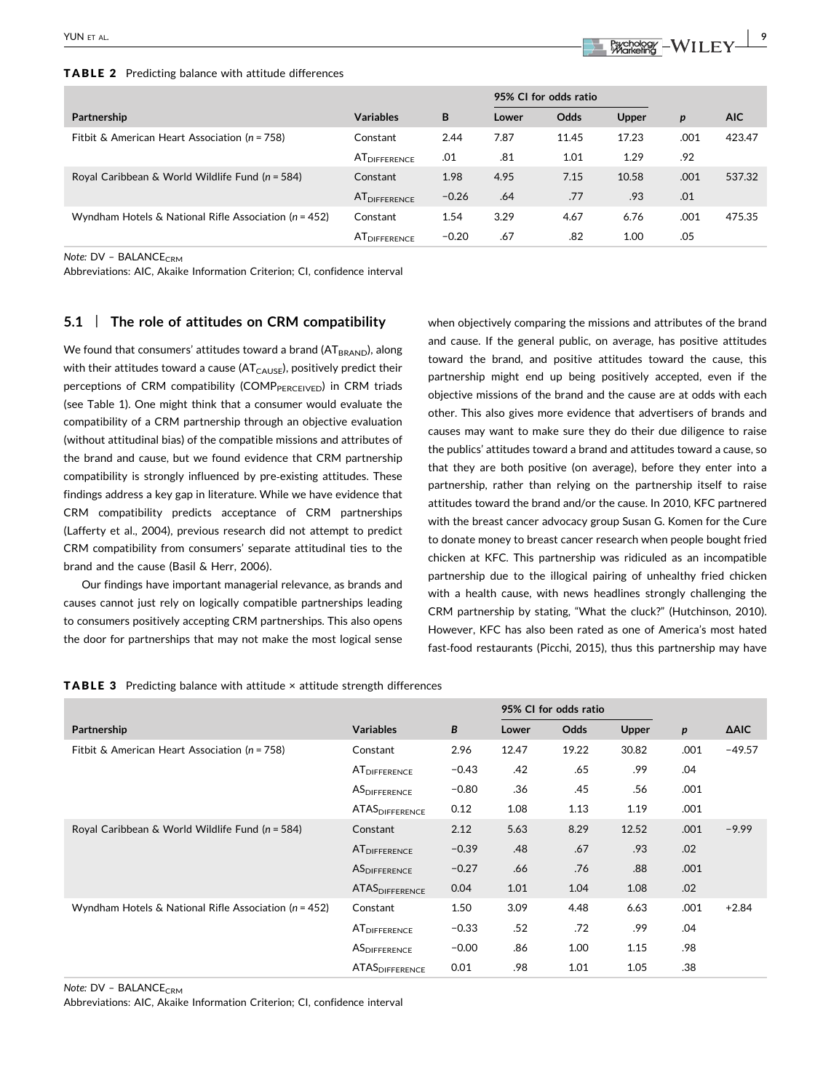#### TABLE 2 Predicting balance with attitude differences

# YUN ET AL.  $\begin{array}{|c|c|c|c|c|c|}\hline \textbf{1} & \textbf{Pgcoh} & \textbf{Pgcoh} & \textbf{Pgcoh} & \textbf{Pgcoh} & \textbf{Pgcoh} & \textbf{Pgcoh} & \textbf{Pgcoh} & \textbf{Pgcoh} & \textbf{Pgcoh} & \textbf{Pgcoh} & \textbf{Pgcoh} & \textbf{Pgcoh} & \textbf{Pgcoh} & \textbf{Pgcoh} & \textbf{Pgcoh} & \textbf{Pgcoh} & \textbf{Pgcoh} & \textbf{Pgcoh} & \textbf{Pgcoh} & \textbf{Pgcoh} & \$

|                                                           |                          |         | 95% CI for odds ratio |       |       |      |            |
|-----------------------------------------------------------|--------------------------|---------|-----------------------|-------|-------|------|------------|
| Partnership                                               | <b>Variables</b>         | B       | Lower                 | Odds  | Upper | p    | <b>AIC</b> |
| Fitbit & American Heart Association ( $n = 758$ )         | Constant                 | 2.44    | 7.87                  | 11.45 | 17.23 | .001 | 423.47     |
|                                                           | AT <sub>DIFFERENCE</sub> | .01     | .81                   | 1.01  | 1.29  | .92  |            |
| Royal Caribbean & World Wildlife Fund $(n = 584)$         | Constant                 | 1.98    | 4.95                  | 7.15  | 10.58 | .001 | 537.32     |
|                                                           | <b>ATDIFFERENCE</b>      | $-0.26$ | .64                   | .77   | .93   | .01  |            |
| Wyndham Hotels & National Rifle Association ( $n = 452$ ) | Constant                 | 1.54    | 3.29                  | 4.67  | 6.76  | .001 | 475.35     |
|                                                           | AT <sub>DIFFERENCE</sub> | $-0.20$ | .67                   | .82   | 1.00  | .05  |            |

Note: DV - BALANCE<sub>CRM</sub>

Abbreviations: AIC, Akaike Information Criterion; CI, confidence interval

## 5.1 | The role of attitudes on CRM compatibility

We found that consumers' attitudes toward a brand ( $AT<sub>BRAND</sub>$ ), along with their attitudes toward a cause ( $AT<sub>CAUSE</sub>$ ), positively predict their perceptions of CRM compatibility (COMP $_{PERCEIVED}$ ) in CRM triads (see Table 1). One might think that a consumer would evaluate the compatibility of a CRM partnership through an objective evaluation (without attitudinal bias) of the compatible missions and attributes of the brand and cause, but we found evidence that CRM partnership compatibility is strongly influenced by pre‐existing attitudes. These findings address a key gap in literature. While we have evidence that CRM compatibility predicts acceptance of CRM partnerships (Lafferty et al., 2004), previous research did not attempt to predict CRM compatibility from consumers' separate attitudinal ties to the brand and the cause (Basil & Herr, 2006).

Our findings have important managerial relevance, as brands and causes cannot just rely on logically compatible partnerships leading to consumers positively accepting CRM partnerships. This also opens the door for partnerships that may not make the most logical sense

when objectively comparing the missions and attributes of the brand and cause. If the general public, on average, has positive attitudes toward the brand, and positive attitudes toward the cause, this partnership might end up being positively accepted, even if the objective missions of the brand and the cause are at odds with each other. This also gives more evidence that advertisers of brands and causes may want to make sure they do their due diligence to raise the publics' attitudes toward a brand and attitudes toward a cause, so that they are both positive (on average), before they enter into a partnership, rather than relying on the partnership itself to raise attitudes toward the brand and/or the cause. In 2010, KFC partnered with the breast cancer advocacy group Susan G. Komen for the Cure to donate money to breast cancer research when people bought fried chicken at KFC. This partnership was ridiculed as an incompatible partnership due to the illogical pairing of unhealthy fried chicken with a health cause, with news headlines strongly challenging the CRM partnership by stating, "What the cluck?" (Hutchinson, 2010). However, KFC has also been rated as one of America's most hated fast-food restaurants (Picchi, 2015), thus this partnership may have

|  | <b>TABLE 3</b> Predicting balance with attitude $\times$ attitude strength differences |  |  |  |  |  |  |  |
|--|----------------------------------------------------------------------------------------|--|--|--|--|--|--|--|
|--|----------------------------------------------------------------------------------------|--|--|--|--|--|--|--|

|                                                           |                          |         | 95% CI for odds ratio |       |       |                  |             |
|-----------------------------------------------------------|--------------------------|---------|-----------------------|-------|-------|------------------|-------------|
| Partnership                                               | <b>Variables</b>         | B       | Lower                 | Odds  | Upper | $\boldsymbol{p}$ | <b>AAIC</b> |
| Fitbit & American Heart Association ( $n = 758$ )         | Constant                 | 2.96    | 12.47                 | 19.22 | 30.82 | .001             | $-49.57$    |
|                                                           | AT <sub>DIFFERENCE</sub> | $-0.43$ | .42                   | .65   | .99   | .04              |             |
|                                                           | AS <sub>DIFFERENCE</sub> | $-0.80$ | .36                   | .45   | .56   | .001             |             |
|                                                           | <b>ATAS</b> DIFFERENCE   | 0.12    | 1.08                  | 1.13  | 1.19  | .001             |             |
| Royal Caribbean & World Wildlife Fund ( $n = 584$ )       | Constant                 | 2.12    | 5.63                  | 8.29  | 12.52 | .001             | $-9.99$     |
|                                                           | AT <sub>DIFFERENCE</sub> | $-0.39$ | .48                   | .67   | .93   | .02              |             |
|                                                           | <b>ASDIFFERENCE</b>      | $-0.27$ | .66                   | .76   | .88   | .001             |             |
|                                                           | <b>ATASDIFFERENCE</b>    | 0.04    | 1.01                  | 1.04  | 1.08  | .02              |             |
| Wyndham Hotels & National Rifle Association ( $n = 452$ ) | Constant                 | 1.50    | 3.09                  | 4.48  | 6.63  | .001             | $+2.84$     |
|                                                           | AT <sub>DIFFERENCE</sub> | $-0.33$ | .52                   | .72   | .99   | .04              |             |
|                                                           | AS <sub>DIFFERENCE</sub> | $-0.00$ | .86                   | 1.00  | 1.15  | .98              |             |
|                                                           | <b>ATAS</b> DIFFERENCE   | 0.01    | .98                   | 1.01  | 1.05  | .38              |             |

Note:  $DV - BALANCE_{CRM}$ 

Abbreviations: AIC, Akaike Information Criterion; CI, confidence interval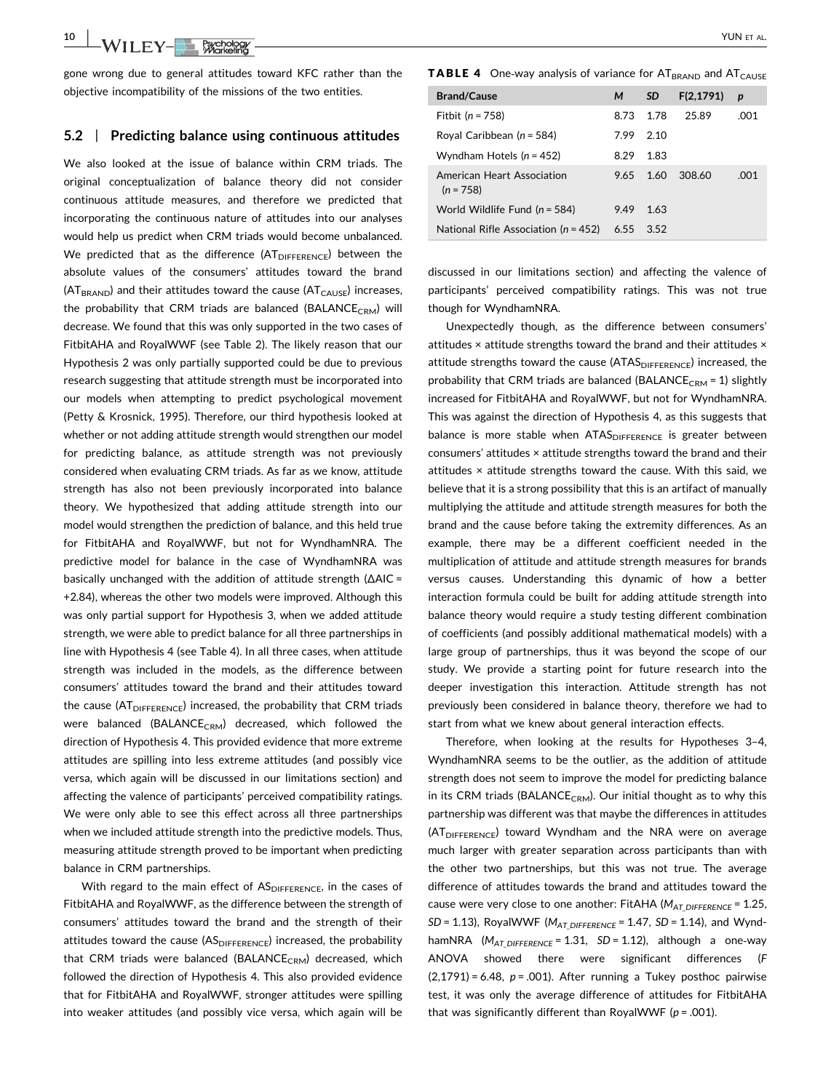10 WILEY-Bychology WILEY-BYCHOLOGY

gone wrong due to general attitudes toward KFC rather than the objective incompatibility of the missions of the two entities.

#### 5.2 | Predicting balance using continuous attitudes

We also looked at the issue of balance within CRM triads. The original conceptualization of balance theory did not consider continuous attitude measures, and therefore we predicted that incorporating the continuous nature of attitudes into our analyses would help us predict when CRM triads would become unbalanced. We predicted that as the difference  $(AT<sub>DIEFERENCE</sub>)$  between the absolute values of the consumers' attitudes toward the brand  $(AT<sub>BRAND</sub>)$  and their attitudes toward the cause  $(AT<sub>CAUSE</sub>)$  increases, the probability that CRM triads are balanced (BALANCE<sub>CRM</sub>) will decrease. We found that this was only supported in the two cases of FitbitAHA and RoyalWWF (see Table 2). The likely reason that our Hypothesis 2 was only partially supported could be due to previous research suggesting that attitude strength must be incorporated into our models when attempting to predict psychological movement (Petty & Krosnick, 1995). Therefore, our third hypothesis looked at whether or not adding attitude strength would strengthen our model for predicting balance, as attitude strength was not previously considered when evaluating CRM triads. As far as we know, attitude strength has also not been previously incorporated into balance theory. We hypothesized that adding attitude strength into our model would strengthen the prediction of balance, and this held true for FitbitAHA and RoyalWWF, but not for WyndhamNRA. The predictive model for balance in the case of WyndhamNRA was basically unchanged with the addition of attitude strength (ΔAIC = +2.84), whereas the other two models were improved. Although this was only partial support for Hypothesis 3, when we added attitude strength, we were able to predict balance for all three partnerships in line with Hypothesis 4 (see Table 4). In all three cases, when attitude strength was included in the models, as the difference between consumers' attitudes toward the brand and their attitudes toward the cause (AT<sub>DIFFERENCE</sub>) increased, the probability that CRM triads were balanced (BALANCE<sub>CRM</sub>) decreased, which followed the direction of Hypothesis 4. This provided evidence that more extreme attitudes are spilling into less extreme attitudes (and possibly vice versa, which again will be discussed in our limitations section) and affecting the valence of participants' perceived compatibility ratings. We were only able to see this effect across all three partnerships when we included attitude strength into the predictive models. Thus, measuring attitude strength proved to be important when predicting balance in CRM partnerships.

With regard to the main effect of ASDIFFERENCE, in the cases of FitbitAHA and RoyalWWF, as the difference between the strength of consumers' attitudes toward the brand and the strength of their attitudes toward the cause  $(AS<sub>DIFFERENCE</sub>)$  increased, the probability that CRM triads were balanced (BALANCE<sub>CRM</sub>) decreased, which followed the direction of Hypothesis 4. This also provided evidence that for FitbitAHA and RoyalWWF, stronger attitudes were spilling into weaker attitudes (and possibly vice versa, which again will be

**TABLE 4** One-way analysis of variance for  $AT_{BRAND}$  and  $AT_{CAUSE}$ 

| <b>Brand/Cause</b>                        | м    | <b>SD</b> | F(2, 1791) | p    |
|-------------------------------------------|------|-----------|------------|------|
| Fitbit ( $n = 758$ )                      | 8.73 | 1.78      | 25.89      | .001 |
| Royal Caribbean $(n = 584)$               | 7.99 | 2.10      |            |      |
| Wyndham Hotels $(n = 452)$                | 8.29 | 1.83      |            |      |
| American Heart Association<br>$(n = 758)$ | 9.65 | 1.60      | 308.60     | .001 |
| World Wildlife Fund $(n = 584)$           | 9.49 | 1.63      |            |      |
| National Rifle Association ( $n = 452$ )  | 6.55 | 3.52      |            |      |

discussed in our limitations section) and affecting the valence of participants' perceived compatibility ratings. This was not true though for WyndhamNRA.

Unexpectedly though, as the difference between consumers' attitudes × attitude strengths toward the brand and their attitudes × attitude strengths toward the cause  $(ATAS<sub>DIFFERENCE</sub>)$  increased, the probability that CRM triads are balanced (BALANCE<sub>CRM</sub> = 1) slightly increased for FitbitAHA and RoyalWWF, but not for WyndhamNRA. This was against the direction of Hypothesis 4, as this suggests that balance is more stable when  $ATAS<sub>DIFFERENCE</sub>$  is greater between consumers' attitudes × attitude strengths toward the brand and their attitudes × attitude strengths toward the cause. With this said, we believe that it is a strong possibility that this is an artifact of manually multiplying the attitude and attitude strength measures for both the brand and the cause before taking the extremity differences. As an example, there may be a different coefficient needed in the multiplication of attitude and attitude strength measures for brands versus causes. Understanding this dynamic of how a better interaction formula could be built for adding attitude strength into balance theory would require a study testing different combination of coefficients (and possibly additional mathematical models) with a large group of partnerships, thus it was beyond the scope of our study. We provide a starting point for future research into the deeper investigation this interaction. Attitude strength has not previously been considered in balance theory, therefore we had to start from what we knew about general interaction effects.

Therefore, when looking at the results for Hypotheses 3–4, WyndhamNRA seems to be the outlier, as the addition of attitude strength does not seem to improve the model for predicting balance in its CRM triads (BALANCE<sub>CRM</sub>). Our initial thought as to why this partnership was different was that maybe the differences in attitudes (AT<sub>DIFFERENCE</sub>) toward Wyndham and the NRA were on average much larger with greater separation across participants than with the other two partnerships, but this was not true. The average difference of attitudes towards the brand and attitudes toward the cause were very close to one another: FitAHA ( $M_{AT\,DIFFERENCE}$  = 1.25,  $SD = 1.13$ ), RoyalWWF ( $M_{AT\ DIFFERENCE} = 1.47$ ,  $SD = 1.14$ ), and WyndhamNRA  $(M_{AT\,DIFFENCE} = 1.31, SD = 1.12)$ , although a one-way ANOVA showed there were significant differences (F  $(2,1791) = 6.48$ ,  $p = .001$ ). After running a Tukey posthoc pairwise test, it was only the average difference of attitudes for FitbitAHA that was significantly different than RoyalWWF ( $p = .001$ ).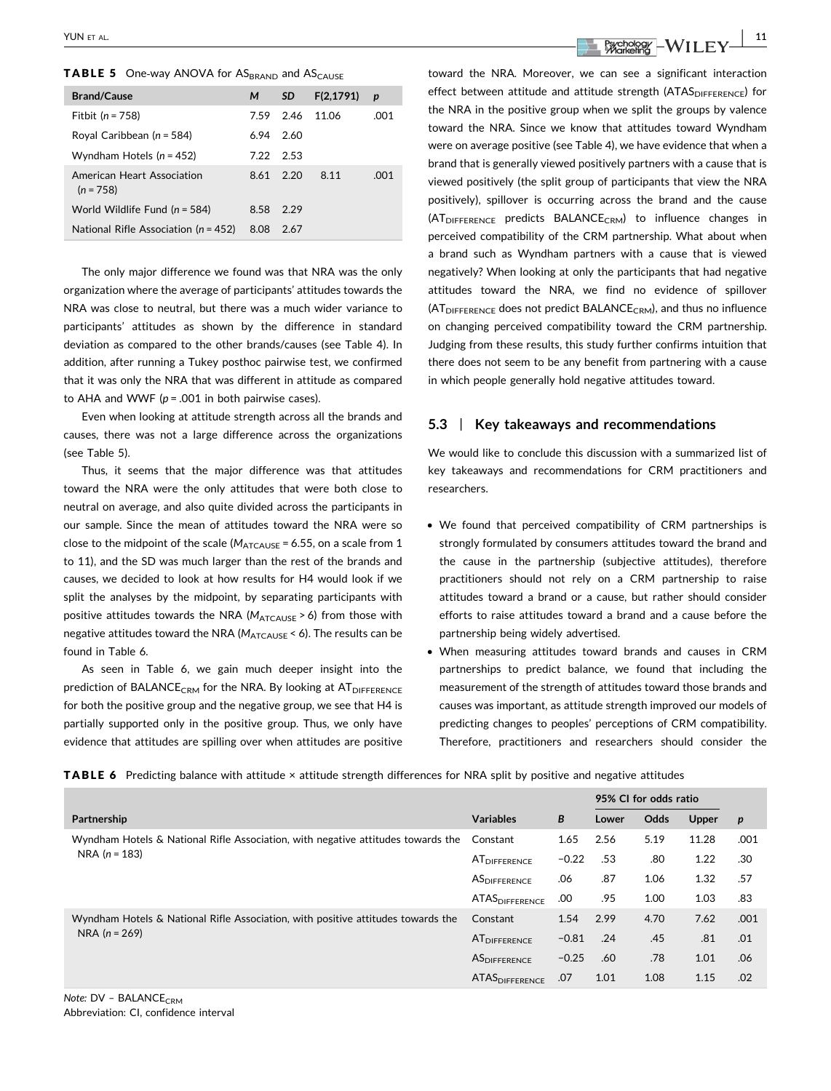| <b>Brand/Cause</b>                        | м         | <b>SD</b> | F(2, 1791) | p    |
|-------------------------------------------|-----------|-----------|------------|------|
| Fitbit $(n = 758)$                        | 7.59      | 2.46      | 11.06      | .001 |
| Royal Caribbean ( $n = 584$ )             | 6.94      | 2.60      |            |      |
| Wyndham Hotels $(n = 452)$                | 7.22 2.53 |           |            |      |
| American Heart Association<br>$(n = 758)$ | 8.61      | -2.20     | 8.11       | .001 |
| World Wildlife Fund $(n = 584)$           | 8.58      | 2.29      |            |      |
| National Rifle Association ( $n = 452$ )  | 8.08      | 2.67      |            |      |

The only major difference we found was that NRA was the only organization where the average of participants' attitudes towards the NRA was close to neutral, but there was a much wider variance to participants' attitudes as shown by the difference in standard deviation as compared to the other brands/causes (see Table 4). In addition, after running a Tukey posthoc pairwise test, we confirmed that it was only the NRA that was different in attitude as compared to AHA and WWF ( $p = .001$  in both pairwise cases).

Even when looking at attitude strength across all the brands and causes, there was not a large difference across the organizations (see Table 5).

Thus, it seems that the major difference was that attitudes toward the NRA were the only attitudes that were both close to neutral on average, and also quite divided across the participants in our sample. Since the mean of attitudes toward the NRA were so close to the midpoint of the scale ( $M_{ATCAUSE}$  = 6.55, on a scale from 1 to 11), and the SD was much larger than the rest of the brands and causes, we decided to look at how results for H4 would look if we split the analyses by the midpoint, by separating participants with positive attitudes towards the NRA ( $M_{ATCAUSE} > 6$ ) from those with negative attitudes toward the NRA ( $M_{\text{ATCAUSE}}$  < 6). The results can be found in Table 6.

As seen in Table 6, we gain much deeper insight into the prediction of BALANCE<sub>CRM</sub> for the NRA. By looking at  $AT<sub>DIFFERENCE</sub>$ for both the positive group and the negative group, we see that H4 is partially supported only in the positive group. Thus, we only have evidence that attitudes are spilling over when attitudes are positive

toward the NRA. Moreover, we can see a significant interaction effect between attitude and attitude strength  $(ATAS<sub>DIFFERENCE</sub>)$  for the NRA in the positive group when we split the groups by valence toward the NRA. Since we know that attitudes toward Wyndham were on average positive (see Table 4), we have evidence that when a brand that is generally viewed positively partners with a cause that is viewed positively (the split group of participants that view the NRA positively), spillover is occurring across the brand and the cause (AT<sub>DIFFERENCE</sub> predicts BALANCE<sub>CRM</sub>) to influence changes in perceived compatibility of the CRM partnership. What about when a brand such as Wyndham partners with a cause that is viewed negatively? When looking at only the participants that had negative attitudes toward the NRA, we find no evidence of spillover  $(AT<sub>DIFFERENCE</sub>$  does not predict BALANCE<sub>CRM</sub>), and thus no influence on changing perceived compatibility toward the CRM partnership. Judging from these results, this study further confirms intuition that there does not seem to be any benefit from partnering with a cause in which people generally hold negative attitudes toward.

### 5.3 | Key takeaways and recommendations

We would like to conclude this discussion with a summarized list of key takeaways and recommendations for CRM practitioners and researchers.

- We found that perceived compatibility of CRM partnerships is strongly formulated by consumers attitudes toward the brand and the cause in the partnership (subjective attitudes), therefore practitioners should not rely on a CRM partnership to raise attitudes toward a brand or a cause, but rather should consider efforts to raise attitudes toward a brand and a cause before the partnership being widely advertised.
- When measuring attitudes toward brands and causes in CRM partnerships to predict balance, we found that including the measurement of the strength of attitudes toward those brands and causes was important, as attitude strength improved our models of predicting changes to peoples' perceptions of CRM compatibility. Therefore, practitioners and researchers should consider the

TABLE 6 Predicting balance with attitude × attitude strength differences for NRA split by positive and negative attitudes

|                                                                                                     |                            |         | 95% CI for odds ratio |      |              |                  |
|-----------------------------------------------------------------------------------------------------|----------------------------|---------|-----------------------|------|--------------|------------------|
| Partnership                                                                                         | <b>Variables</b>           | B       | Lower                 | Odds | <b>Upper</b> | $\boldsymbol{p}$ |
| Wyndham Hotels & National Rifle Association, with negative attitudes towards the<br>$NRA (n = 183)$ | Constant                   | 1.65    | 2.56                  | 5.19 | 11.28        | .001             |
|                                                                                                     | AT <sub>DIFFERENCE</sub>   | $-0.22$ | .53                   | .80  | 1.22         | .30              |
|                                                                                                     | <b>ASDIFFERENCE</b>        | .06     | .87                   | 1.06 | 1.32         | .57              |
|                                                                                                     | ATAS <sub>DIFFERENCE</sub> | .00     | .95                   | 1.00 | 1.03         | .83              |
| Wyndham Hotels & National Rifle Association, with positive attitudes towards the<br>$NRA (n = 269)$ | Constant                   | 1.54    | 2.99                  | 4.70 | 7.62         | .001             |
|                                                                                                     | <b>AT</b> DIFFERENCE       | $-0.81$ | .24                   | .45  | .81          | .01              |
|                                                                                                     | <b>ASDIFFERENCE</b>        | $-0.25$ | .60                   | .78  | 1.01         | .06              |
|                                                                                                     | <b>ATASDIFFERENCE</b>      | .07     | 1.01                  | 1.08 | 1.15         | .02              |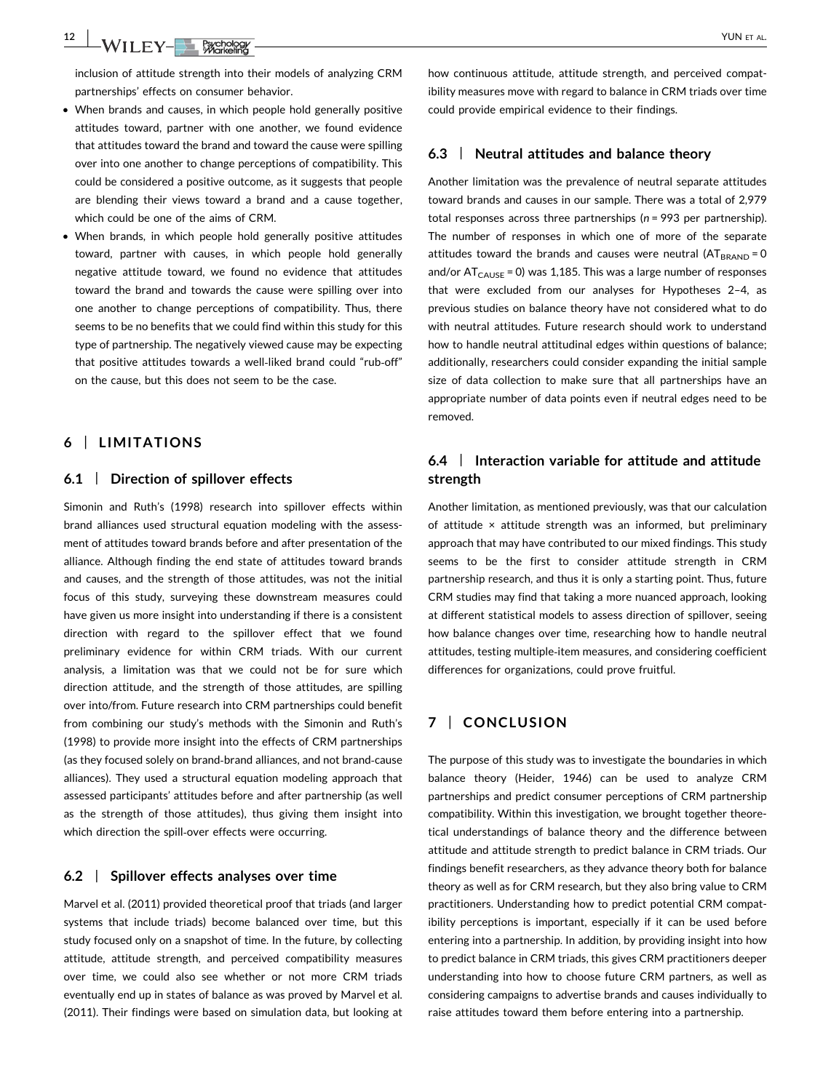12 WII FV-BERGOOD WAS CONSIDERED TO A 200 F ALL

inclusion of attitude strength into their models of analyzing CRM partnerships' effects on consumer behavior.

- When brands and causes, in which people hold generally positive attitudes toward, partner with one another, we found evidence that attitudes toward the brand and toward the cause were spilling over into one another to change perceptions of compatibility. This could be considered a positive outcome, as it suggests that people are blending their views toward a brand and a cause together, which could be one of the aims of CRM.
- When brands, in which people hold generally positive attitudes toward, partner with causes, in which people hold generally negative attitude toward, we found no evidence that attitudes toward the brand and towards the cause were spilling over into one another to change perceptions of compatibility. Thus, there seems to be no benefits that we could find within this study for this type of partnership. The negatively viewed cause may be expecting that positive attitudes towards a well‐liked brand could "rub‐off" on the cause, but this does not seem to be the case.

# 6 | LIMITATIONS

## 6.1 | Direction of spillover effects

Simonin and Ruth's (1998) research into spillover effects within brand alliances used structural equation modeling with the assessment of attitudes toward brands before and after presentation of the alliance. Although finding the end state of attitudes toward brands and causes, and the strength of those attitudes, was not the initial focus of this study, surveying these downstream measures could have given us more insight into understanding if there is a consistent direction with regard to the spillover effect that we found preliminary evidence for within CRM triads. With our current analysis, a limitation was that we could not be for sure which direction attitude, and the strength of those attitudes, are spilling over into/from. Future research into CRM partnerships could benefit from combining our study's methods with the Simonin and Ruth's (1998) to provide more insight into the effects of CRM partnerships (as they focused solely on brand‐brand alliances, and not brand‐cause alliances). They used a structural equation modeling approach that assessed participants' attitudes before and after partnership (as well as the strength of those attitudes), thus giving them insight into which direction the spill-over effects were occurring.

#### 6.2 | Spillover effects analyses over time

Marvel et al. (2011) provided theoretical proof that triads (and larger systems that include triads) become balanced over time, but this study focused only on a snapshot of time. In the future, by collecting attitude, attitude strength, and perceived compatibility measures over time, we could also see whether or not more CRM triads eventually end up in states of balance as was proved by Marvel et al. (2011). Their findings were based on simulation data, but looking at how continuous attitude, attitude strength, and perceived compatibility measures move with regard to balance in CRM triads over time could provide empirical evidence to their findings.

#### 6.3 | Neutral attitudes and balance theory

Another limitation was the prevalence of neutral separate attitudes toward brands and causes in our sample. There was a total of 2,979 total responses across three partnerships ( $n = 993$  per partnership). The number of responses in which one of more of the separate attitudes toward the brands and causes were neutral  $(AT_{BRAND} = 0$ and/or  $AT<sub>CAUSE</sub> = 0$ ) was 1,185. This was a large number of responses that were excluded from our analyses for Hypotheses 2–4, as previous studies on balance theory have not considered what to do with neutral attitudes. Future research should work to understand how to handle neutral attitudinal edges within questions of balance; additionally, researchers could consider expanding the initial sample size of data collection to make sure that all partnerships have an appropriate number of data points even if neutral edges need to be removed.

# 6.4 | Interaction variable for attitude and attitude strength

Another limitation, as mentioned previously, was that our calculation of attitude × attitude strength was an informed, but preliminary approach that may have contributed to our mixed findings. This study seems to be the first to consider attitude strength in CRM partnership research, and thus it is only a starting point. Thus, future CRM studies may find that taking a more nuanced approach, looking at different statistical models to assess direction of spillover, seeing how balance changes over time, researching how to handle neutral attitudes, testing multiple‐item measures, and considering coefficient differences for organizations, could prove fruitful.

# 7 | CONCLUSION

The purpose of this study was to investigate the boundaries in which balance theory (Heider, 1946) can be used to analyze CRM partnerships and predict consumer perceptions of CRM partnership compatibility. Within this investigation, we brought together theoretical understandings of balance theory and the difference between attitude and attitude strength to predict balance in CRM triads. Our findings benefit researchers, as they advance theory both for balance theory as well as for CRM research, but they also bring value to CRM practitioners. Understanding how to predict potential CRM compatibility perceptions is important, especially if it can be used before entering into a partnership. In addition, by providing insight into how to predict balance in CRM triads, this gives CRM practitioners deeper understanding into how to choose future CRM partners, as well as considering campaigns to advertise brands and causes individually to raise attitudes toward them before entering into a partnership.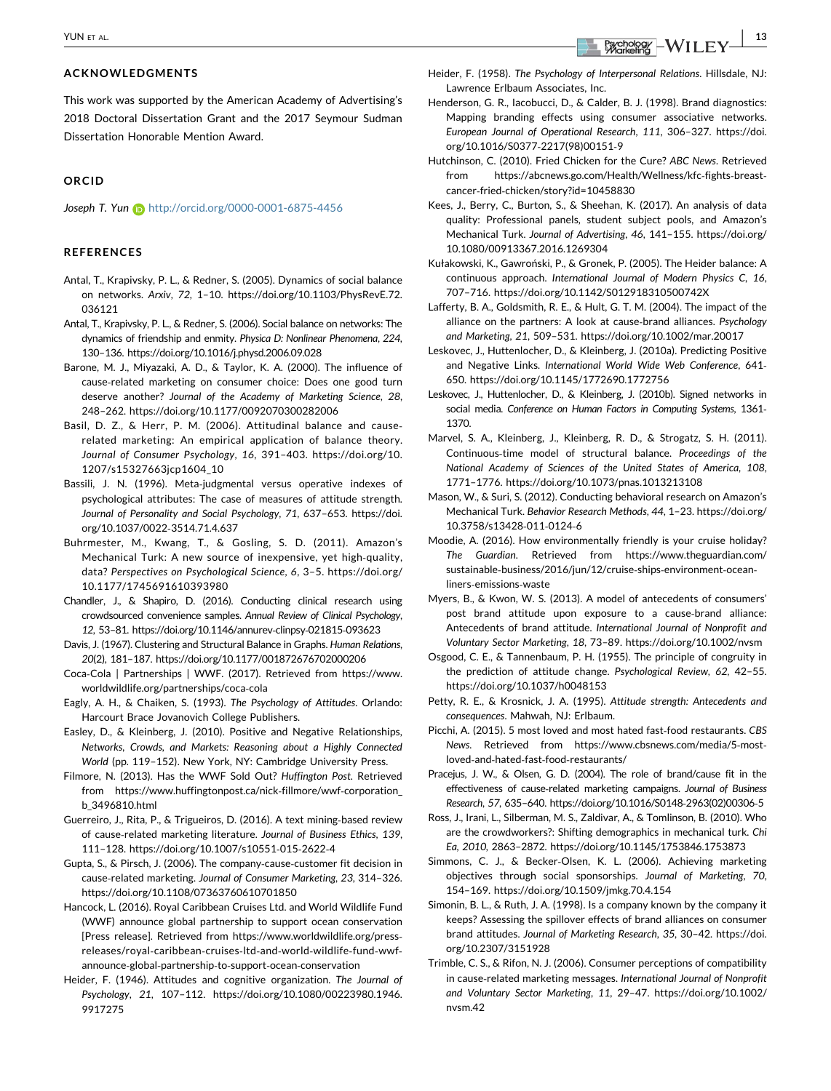#### ACKNOWLEDGMENTS

This work was supported by the American Academy of Advertising's 2018 Doctoral Dissertation Grant and the 2017 Seymour Sudman Dissertation Honorable Mention Award.

#### ORCID

Joseph T. Yun b <http://orcid.org/0000-0001-6875-4456>

## REFERENCES

- Antal, T., Krapivsky, P. L., & Redner, S. (2005). Dynamics of social balance on networks. Arxiv, 72, 1–10. [https://doi.org/10.1103/PhysRevE.72.](https://doi.org/10.1103/PhysRevE.72.036121) [036121](https://doi.org/10.1103/PhysRevE.72.036121)
- Antal, T., Krapivsky, P. L., & Redner, S. (2006). Social balance on networks: The dynamics of friendship and enmity. Physica D: Nonlinear Phenomena, 224, 130–136.<https://doi.org/10.1016/j.physd.2006.09.028>
- Barone, M. J., Miyazaki, A. D., & Taylor, K. A. (2000). The influence of cause‐related marketing on consumer choice: Does one good turn deserve another? Journal of the Academy of Marketing Science, 28, 248–262.<https://doi.org/10.1177/0092070300282006>
- Basil, D. Z., & Herr, P. M. (2006). Attitudinal balance and cause‐ related marketing: An empirical application of balance theory. Journal of Consumer Psychology, 16, 391–403. [https://doi.org/10.](https://doi.org/10.1207/s15327663jcp1604_10) [1207/s15327663jcp1604\\_10](https://doi.org/10.1207/s15327663jcp1604_10)
- Bassili, J. N. (1996). Meta‐judgmental versus operative indexes of psychological attributes: The case of measures of attitude strength. Journal of Personality and Social Psychology, 71, 637–653. [https://doi.](https://doi.org/10.1037/0022-3514.71.4.637) [org/10.1037/0022](https://doi.org/10.1037/0022-3514.71.4.637)‐3514.71.4.637
- Buhrmester, M., Kwang, T., & Gosling, S. D. (2011). Amazon's Mechanical Turk: A new source of inexpensive, yet high‐quality, data? Perspectives on Psychological Science, 6, 3–5. [https://doi.org/](https://doi.org/10.1177/1745691610393980) [10.1177/1745691610393980](https://doi.org/10.1177/1745691610393980)
- Chandler, J., & Shapiro, D. (2016). Conducting clinical research using crowdsourced convenience samples. Annual Review of Clinical Psychology, 12, 53–81. [https://doi.org/10.1146/annurev](https://doi.org/10.1146/annurev-clinpsy-021815-093623)‐clinpsy‐021815‐093623
- Davis, J. (1967). Clustering and Structural Balance in Graphs. Human Relations, 20(2), 181–187.<https://doi.org/10.1177/001872676702000206>
- Coca‐Cola | Partnerships | WWF. (2017). Retrieved from [https://www.](https://www.worldwildlife.org/partnerships/coca-cola) [worldwildlife.org/partnerships/coca](https://www.worldwildlife.org/partnerships/coca-cola)‐cola
- Eagly, A. H., & Chaiken, S. (1993). The Psychology of Attitudes. Orlando: Harcourt Brace Jovanovich College Publishers.
- Easley, D., & Kleinberg, J. (2010). Positive and Negative Relationships, Networks, Crowds, and Markets: Reasoning about a Highly Connected World (pp. 119–152). New York, NY: Cambridge University Press.
- Filmore, N. (2013). Has the WWF Sold Out? Huffington Post. Retrieved from [https://www.huffingtonpost.ca/nick](https://www.huffingtonpost.ca/nick-fillmore/wwf-corporation_b_3496810.html)-fillmore/wwf-corporation\_ [b\\_3496810.html](https://www.huffingtonpost.ca/nick-fillmore/wwf-corporation_b_3496810.html)
- Guerreiro, J., Rita, P., & Trigueiros, D. (2016). A text mining‐based review of cause‐related marketing literature. Journal of Business Ethics, 139, 111–128. [https://doi.org/10.1007/s10551](https://doi.org/10.1007/s10551-015-2622-4)‐015‐2622‐4
- Gupta, S., & Pirsch, J. (2006). The company‐cause‐customer fit decision in cause‐related marketing. Journal of Consumer Marketing, 23, 314–326. <https://doi.org/10.1108/07363760610701850>
- Hancock, L. (2016). Royal Caribbean Cruises Ltd. and World Wildlife Fund (WWF) announce global partnership to support ocean conservation [Press release]. Retrieved from [https://www.worldwildlife.org/press](https://www.worldwildlife.org/press-releases/royal-caribbean-cruises-ltd-and-world-wildlife-fund-wwf-announce-global-partnership-to-support-ocean-conservation)‐ [releases/royal](https://www.worldwildlife.org/press-releases/royal-caribbean-cruises-ltd-and-world-wildlife-fund-wwf-announce-global-partnership-to-support-ocean-conservation)‐caribbean‐cruises‐ltd‐and‐world‐wildlife‐fund‐wwf‐ announce‐global‐partnership‐to‐support‐ocean‐[conservation](https://www.worldwildlife.org/press-releases/royal-caribbean-cruises-ltd-and-world-wildlife-fund-wwf-announce-global-partnership-to-support-ocean-conservation)
- Heider, F. (1946). Attitudes and cognitive organization. The Journal of Psychology, 21, 107–112. [https://doi.org/10.1080/00223980.1946.](https://doi.org/10.1080/00223980.1946.9917275) [9917275](https://doi.org/10.1080/00223980.1946.9917275)
- Heider, F. (1958). The Psychology of Interpersonal Relations. Hillsdale, NJ: Lawrence Erlbaum Associates, Inc.
- Henderson, G. R., Iacobucci, D., & Calder, B. J. (1998). Brand diagnostics: Mapping branding effects using consumer associative networks. European Journal of Operational Research, 111, 306–327. [https://doi.](https://doi.org/10.1016/S0377-2217(98)00151-9) [org/10.1016/S0377](https://doi.org/10.1016/S0377-2217(98)00151-9)‐2217(98)00151‐9
- Hutchinson, C. (2010). Fried Chicken for the Cure? ABC News. Retrieved from [https://abcnews.go.com/Health/Wellness/kfc](https://abcnews.go.com/Health/Wellness/kfc-fights-breast-cancer-fried-chicken/story?id=10458830)-fights-breastcancer‐fried‐[chicken/story?id=10458830](https://abcnews.go.com/Health/Wellness/kfc-fights-breast-cancer-fried-chicken/story?id=10458830)
- Kees, J., Berry, C., Burton, S., & Sheehan, K. (2017). An analysis of data quality: Professional panels, student subject pools, and Amazon's Mechanical Turk. Journal of Advertising, 46, 141–155. [https://doi.org/](https://doi.org/10.1080/00913367.2016.1269304) [10.1080/00913367.2016.1269304](https://doi.org/10.1080/00913367.2016.1269304)
- Kułakowski, K., Gawroński, P., & Gronek, P. (2005). The Heider balance: A continuous approach. International Journal of Modern Physics C, 16, 707–716.<https://doi.org/10.1142/S012918310500742X>
- Lafferty, B. A., Goldsmith, R. E., & Hult, G. T. M. (2004). The impact of the alliance on the partners: A look at cause‐brand alliances. Psychology and Marketing, 21, 509–531.<https://doi.org/10.1002/mar.20017>
- Leskovec, J., Huttenlocher, D., & Kleinberg, J. (2010a). Predicting Positive and Negative Links. International World Wide Web Conference, 641‐ 650.<https://doi.org/10.1145/1772690.1772756>
- Leskovec, J., Huttenlocher, D., & Kleinberg, J. (2010b). Signed networks in social media. Conference on Human Factors in Computing Systems, 1361-1370.
- Marvel, S. A., Kleinberg, J., Kleinberg, R. D., & Strogatz, S. H. (2011). Continuous‐time model of structural balance. Proceedings of the National Academy of Sciences of the United States of America, 108, 1771–1776.<https://doi.org/10.1073/pnas.1013213108>
- Mason, W., & Suri, S. (2012). Conducting behavioral research on Amazon's Mechanical Turk. Behavior Research Methods, 44, 1–23. [https://doi.org/](https://doi.org/10.3758/s13428-011-0124-6) [10.3758/s13428](https://doi.org/10.3758/s13428-011-0124-6)‐011‐0124‐6
- Moodie, A. (2016). How environmentally friendly is your cruise holiday? The Guardian. Retrieved from [https://www.theguardian.com/](https://www.theguardian.com/sustainable-business/2016/jun/12/cruise-ships-environment-ocean-liners-emissions-waste) sustainable‐[business/2016/jun/12/cruise](https://www.theguardian.com/sustainable-business/2016/jun/12/cruise-ships-environment-ocean-liners-emissions-waste)‐ships‐environment‐ocean‐ liners‐[emissions](https://www.theguardian.com/sustainable-business/2016/jun/12/cruise-ships-environment-ocean-liners-emissions-waste)‐waste
- Myers, B., & Kwon, W. S. (2013). A model of antecedents of consumers' post brand attitude upon exposure to a cause‐brand alliance: Antecedents of brand attitude. International Journal of Nonprofit and Voluntary Sector Marketing, 18, 73–89.<https://doi.org/10.1002/nvsm>
- Osgood, C. E., & Tannenbaum, P. H. (1955). The principle of congruity in the prediction of attitude change. Psychological Review, 62, 42–55. <https://doi.org/10.1037/h0048153>
- Petty, R. E., & Krosnick, J. A. (1995). Attitude strength: Antecedents and consequences. Mahwah, NJ: Erlbaum.
- Picchi, A. (2015). 5 most loved and most hated fast‐food restaurants. CBS News. Retrieved from [https://www.cbsnews.com/media/5](https://www.cbsnews.com/media/5-most-loved-and-hated-fast-food-restaurants/)‐most‐ loved‐and‐hated‐fast‐food‐[restaurants/](https://www.cbsnews.com/media/5-most-loved-and-hated-fast-food-restaurants/)
- Pracejus, J. W., & Olsen, G. D. (2004). The role of brand/cause fit in the effectiveness of cause-related marketing campaigns. Journal of Business Research, 57, 635–640. [https://doi.org/10.1016/S0148](https://doi.org/10.1016/S0148-2963(02)00306-5)‐2963(02)00306‐5
- Ross, J., Irani, L., Silberman, M. S., Zaldivar, A., & Tomlinson, B. (2010). Who are the crowdworkers?: Shifting demographics in mechanical turk. Chi Ea, 2010, 2863–2872.<https://doi.org/10.1145/1753846.1753873>
- Simmons, C. J., & Becker‐Olsen, K. L. (2006). Achieving marketing objectives through social sponsorships. Journal of Marketing, 70, 154–169.<https://doi.org/10.1509/jmkg.70.4.154>
- Simonin, B. L., & Ruth, J. A. (1998). Is a company known by the company it keeps? Assessing the spillover effects of brand alliances on consumer brand attitudes. Journal of Marketing Research, 35, 30–42. [https://doi.](https://doi.org/10.2307/3151928) [org/10.2307/3151928](https://doi.org/10.2307/3151928)
- Trimble, C. S., & Rifon, N. J. (2006). Consumer perceptions of compatibility in cause‐related marketing messages. International Journal of Nonprofit and Voluntary Sector Marketing, 11, 29–47. [https://doi.org/10.1002/](https://doi.org/10.1002/nvsm.42) [nvsm.42](https://doi.org/10.1002/nvsm.42)